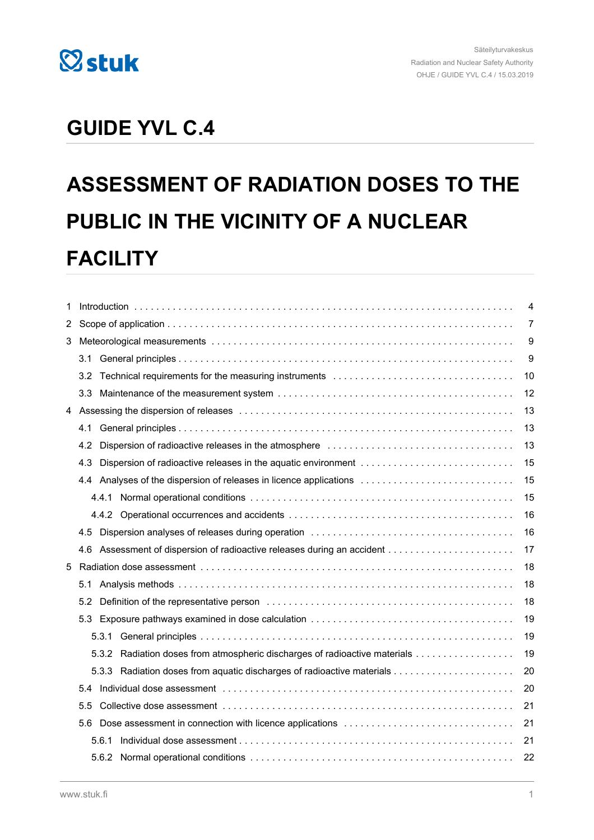

## **GUIDE YVL C.4**

# **ASSESSMENT OF RADIATION DOSES TO THE PUBLIC IN THE VICINITY OF A NUCLEAR FACILITY**

| 1 |                  |       |                                                                            | $\overline{4}$ |
|---|------------------|-------|----------------------------------------------------------------------------|----------------|
| 2 |                  |       |                                                                            |                |
| 3 |                  |       |                                                                            |                |
|   | 3.1              |       |                                                                            | 9              |
|   | 3.2              |       | Technical requirements for the measuring instruments                       | 10             |
|   | 3.3 <sub>1</sub> |       |                                                                            | 12             |
| 4 |                  |       |                                                                            | 13             |
|   | 4.1              |       |                                                                            | 13             |
|   | 4.2              |       |                                                                            | 13             |
|   | 4.3              |       |                                                                            | 15             |
|   |                  |       | 4.4 Analyses of the dispersion of releases in licence applications         | 15             |
|   |                  |       |                                                                            | 15             |
|   |                  |       |                                                                            | 16             |
|   | 4.5              |       |                                                                            | 16             |
|   | 4.6              |       |                                                                            | 17             |
| 5 |                  |       |                                                                            | 18             |
|   | 5.1              |       |                                                                            | 18             |
|   | 5.2              |       |                                                                            | 18             |
|   | 5.3              |       |                                                                            | 19             |
|   |                  |       |                                                                            | 19             |
|   |                  |       | 5.3.2 Radiation doses from atmospheric discharges of radioactive materials | 19             |
|   |                  |       |                                                                            | 20             |
|   | 5.4              |       |                                                                            | 20             |
|   | 5.5              |       |                                                                            | 21             |
|   | 5.6              |       |                                                                            | 21             |
|   |                  | 5.6.1 |                                                                            | 21             |
|   |                  |       | 5.6.2 Normal operational conditions                                        | 22             |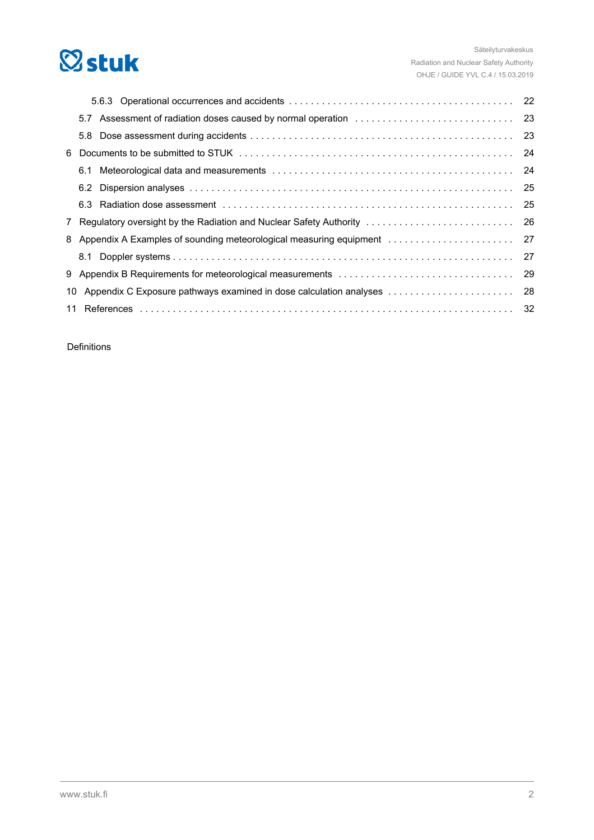

| 6. |                                                                          |  |
|----|--------------------------------------------------------------------------|--|
|    |                                                                          |  |
|    |                                                                          |  |
|    |                                                                          |  |
|    |                                                                          |  |
|    | 8 Appendix A Examples of sounding meteorological measuring equipment  27 |  |
|    |                                                                          |  |
|    |                                                                          |  |
|    |                                                                          |  |
| 11 |                                                                          |  |

Definitions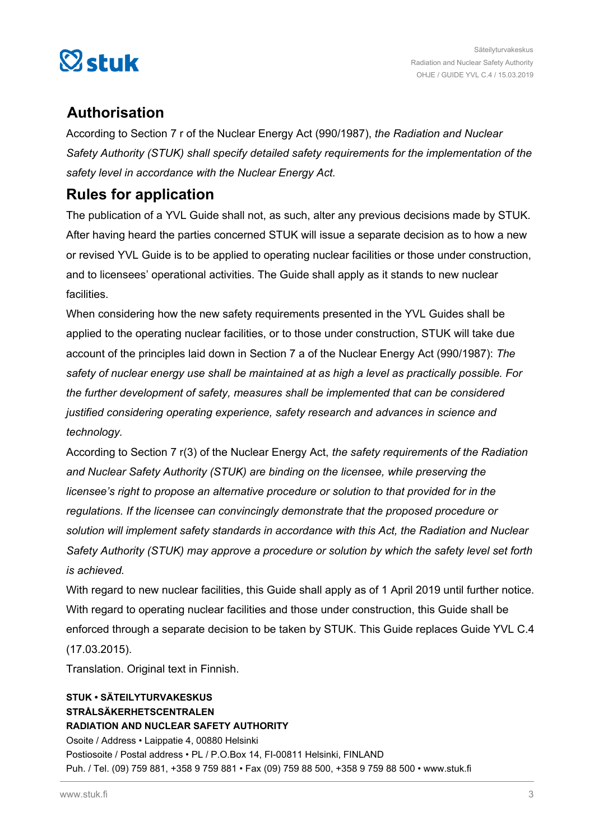

### **Authorisation**

According to Section 7 r of the Nuclear Energy Act (990/1987), *the Radiation and Nuclear Safety Authority (STUK) shall specify detailed safety requirements for the implementation of the safety level in accordance with the Nuclear Energy Act.*

### **Rules for application**

The publication of a YVL Guide shall not, as such, alter any previous decisions made by STUK. After having heard the parties concerned STUK will issue a separate decision as to how a new or revised YVL Guide is to be applied to operating nuclear facilities or those under construction, and to licensees' operational activities. The Guide shall apply as it stands to new nuclear facilities.

When considering how the new safety requirements presented in the YVL Guides shall be applied to the operating nuclear facilities, or to those under construction, STUK will take due account of the principles laid down in Section 7 a of the Nuclear Energy Act (990/1987): *The safety of nuclear energy use shall be maintained at as high a level as practically possible. For the further development of safety, measures shall be implemented that can be considered justified considering operating experience, safety research and advances in science and technology.*

According to Section 7 r(3) of the Nuclear Energy Act, *the safety requirements of the Radiation and Nuclear Safety Authority (STUK) are binding on the licensee, while preserving the licensee's right to propose an alternative procedure or solution to that provided for in the regulations. If the licensee can convincingly demonstrate that the proposed procedure or solution will implement safety standards in accordance with this Act, the Radiation and Nuclear Safety Authority (STUK) may approve a procedure or solution by which the safety level set forth is achieved.*

With regard to new nuclear facilities, this Guide shall apply as of 1 April 2019 until further notice. With regard to operating nuclear facilities and those under construction, this Guide shall be enforced through a separate decision to be taken by STUK. This Guide replaces Guide YVL C.4 (17.03.2015).

Translation. Original text in Finnish.

### **STUK • SÄTEILYTURVAKESKUS STRÅLSÄKERHETSCENTRALEN RADIATION AND NUCLEAR SAFETY AUTHORITY** Osoite / Address • Laippatie 4, 00880 Helsinki Postiosoite / Postal address • PL / P.O.Box 14, FI-00811 Helsinki, FINLAND Puh. / Tel. (09) 759 881, +358 9 759 881 • Fax (09) 759 88 500, +358 9 759 88 500 • www.stuk.fi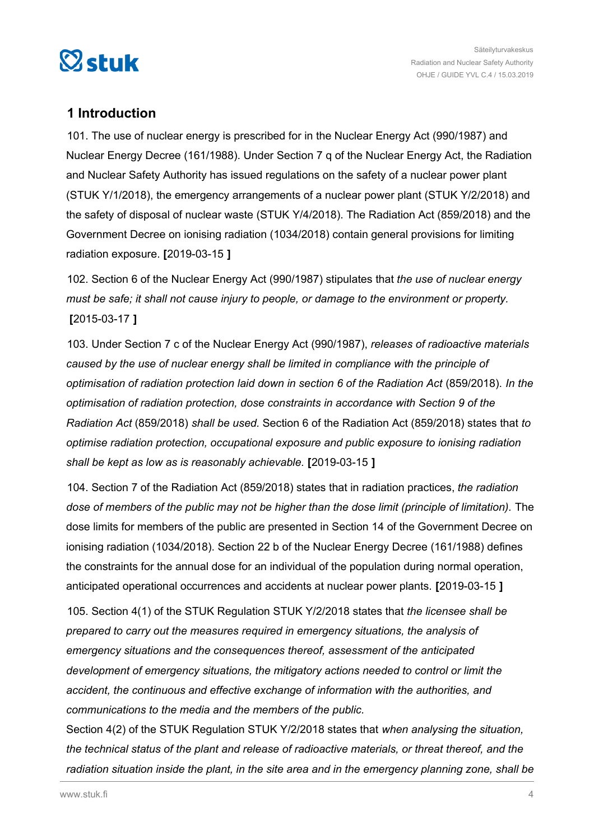<span id="page-3-0"></span>

### **1 Introduction**

101. The use of nuclear energy is prescribed for in the Nuclear Energy Act (990/1987) and Nuclear Energy Decree (161/1988). Under Section 7 q of the Nuclear Energy Act, the Radiation and Nuclear Safety Authority has issued regulations on the safety of a nuclear power plant (STUK Y/1/2018), the emergency arrangements of a nuclear power plant (STUK Y/2/2018) and the safety of disposal of nuclear waste (STUK Y/4/2018). The Radiation Act (859/2018) and the Government Decree on ionising radiation (1034/2018) contain general provisions for limiting radiation exposure. **[**2019-03-15 **]**

102. Section 6 of the Nuclear Energy Act (990/1987) stipulates that *the use of nuclear energy must be safe; it shall not cause injury to people, or damage to the environment or property.* **[**2015-03-17 **]**

103. Under Section 7 c of the Nuclear Energy Act (990/1987), *releases of radioactive materials caused by the use of nuclear energy shall be limited in compliance with the principle of optimisation of radiation protection laid down in section 6 of the Radiation Act* (859/2018). *In the optimisation of radiation protection, dose constraints in accordance with Section 9 of the Radiation Act* (859/2018) *shall be used.* Section 6 of the Radiation Act (859/2018) states that *to optimise radiation protection, occupational exposure and public exposure to ionising radiation shall be kept as low as is reasonably achievable.* **[**2019-03-15 **]**

104. Section 7 of the Radiation Act (859/2018) states that in radiation practices, *the radiation dose of members of the public may not be higher than the dose limit (principle of limitation).* The dose limits for members of the public are presented in Section 14 of the Government Decree on ionising radiation (1034/2018). Section 22 b of the Nuclear Energy Decree (161/1988) defines the constraints for the annual dose for an individual of the population during normal operation, anticipated operational occurrences and accidents at nuclear power plants. **[**2019-03-15 **]**

105. Section 4(1) of the STUK Regulation STUK Y/2/2018 states that *the licensee shall be prepared to carry out the measures required in emergency situations, the analysis of emergency situations and the consequences thereof, assessment of the anticipated development of emergency situations, the mitigatory actions needed to control or limit the accident, the continuous and effective exchange of information with the authorities, and communications to the media and the members of the public.*

Section 4(2) of the STUK Regulation STUK Y/2/2018 states that *when analysing the situation, the technical status of the plant and release of radioactive materials, or threat thereof, and the radiation situation inside the plant, in the site area and in the emergency planning zone, shall be*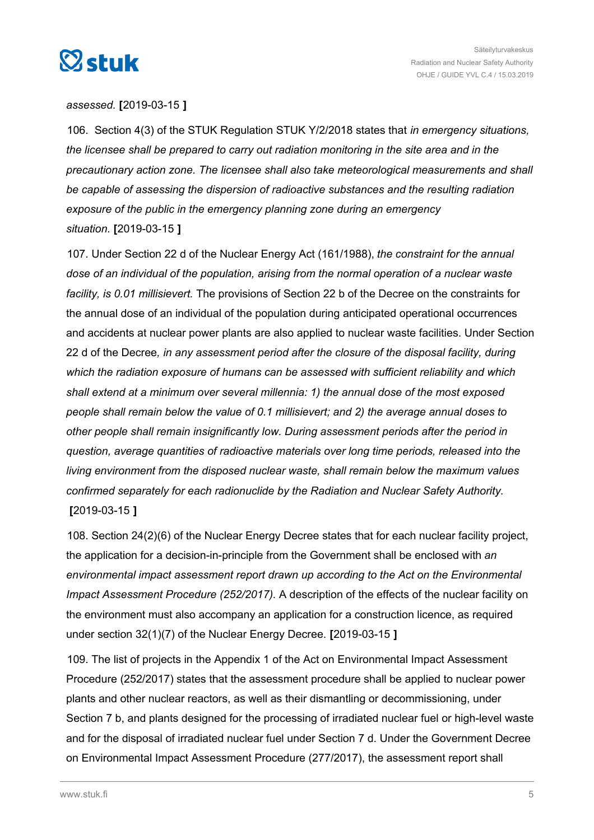

#### *assessed.* **[**2019-03-15 **]**

106. Section 4(3) of the STUK Regulation STUK Y/2/2018 states that *in emergency situations, the licensee shall be prepared to carry out radiation monitoring in the site area and in the precautionary action zone. The licensee shall also take meteorological measurements and shall be capable of assessing the dispersion of radioactive substances and the resulting radiation exposure of the public in the emergency planning zone during an emergency situation.* **[**2019-03-15 **]**

107. Under Section 22 d of the Nuclear Energy Act (161/1988), *the constraint for the annual dose of an individual of the population, arising from the normal operation of a nuclear waste facility, is 0.01 millisievert.* The provisions of Section 22 b of the Decree on the constraints for the annual dose of an individual of the population during anticipated operational occurrences and accidents at nuclear power plants are also applied to nuclear waste facilities. Under Section 22 d of the Decree*, in any assessment period after the closure of the disposal facility, during which the radiation exposure of humans can be assessed with sufficient reliability and which shall extend at a minimum over several millennia: 1) the annual dose of the most exposed people shall remain below the value of 0.1 millisievert; and 2) the average annual doses to other people shall remain insignificantly low. During assessment periods after the period in question, average quantities of radioactive materials over long time periods, released into the living environment from the disposed nuclear waste, shall remain below the maximum values confirmed separately for each radionuclide by the Radiation and Nuclear Safety Authority.* **[**2019-03-15 **]**

108. Section 24(2)(6) of the Nuclear Energy Decree states that for each nuclear facility project, the application for a decision-in-principle from the Government shall be enclosed with *an environmental impact assessment report drawn up according to the Act on the Environmental Impact Assessment Procedure (252/2017).* A description of the effects of the nuclear facility on the environment must also accompany an application for a construction licence, as required under section 32(1)(7) of the Nuclear Energy Decree. **[**2019-03-15 **]**

109. The list of projects in the Appendix 1 of the Act on Environmental Impact Assessment Procedure (252/2017) states that the assessment procedure shall be applied to nuclear power plants and other nuclear reactors, as well as their dismantling or decommissioning, under Section 7 b, and plants designed for the processing of irradiated nuclear fuel or high-level waste and for the disposal of irradiated nuclear fuel under Section 7 d. Under the Government Decree on Environmental Impact Assessment Procedure (277/2017), the assessment report shall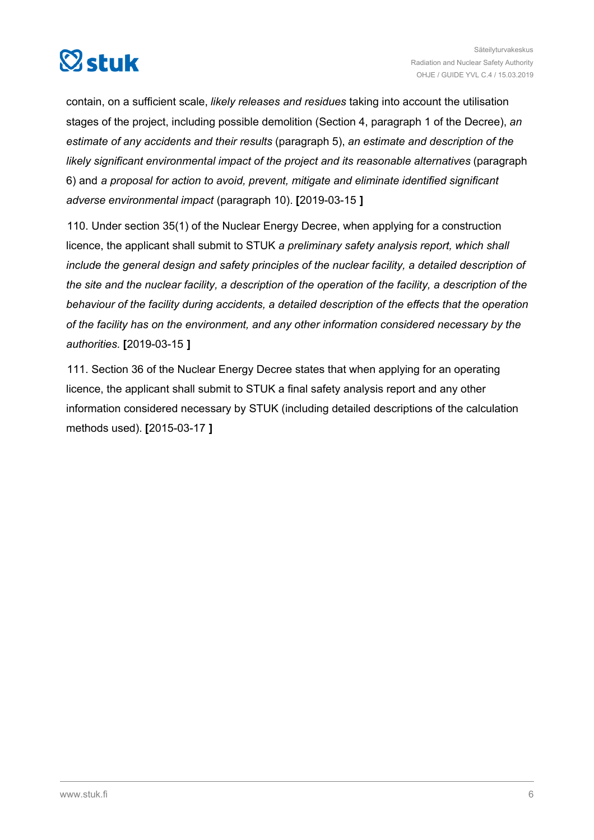

contain, on a sufficient scale, *likely releases and residues* taking into account the utilisation stages of the project, including possible demolition (Section 4, paragraph 1 of the Decree), *an estimate of any accidents and their results* (paragraph 5), *an estimate and description of the likely significant environmental impact of the project and its reasonable alternatives* (paragraph 6) and *a proposal for action to avoid, prevent, mitigate and eliminate identified significant adverse environmental impact* (paragraph 10). **[**2019-03-15 **]**

110. Under section 35(1) of the Nuclear Energy Decree, when applying for a construction licence, the applicant shall submit to STUK *a preliminary safety analysis report, which shall include the general design and safety principles of the nuclear facility, a detailed description of the site and the nuclear facility, a description of the operation of the facility, a description of the behaviour of the facility during accidents, a detailed description of the effects that the operation of the facility has on the environment, and any other information considered necessary by the authorities.* **[**2019-03-15 **]**

111. Section 36 of the Nuclear Energy Decree states that when applying for an operating licence, the applicant shall submit to STUK a final safety analysis report and any other information considered necessary by STUK (including detailed descriptions of the calculation methods used). **[**2015-03-17 **]**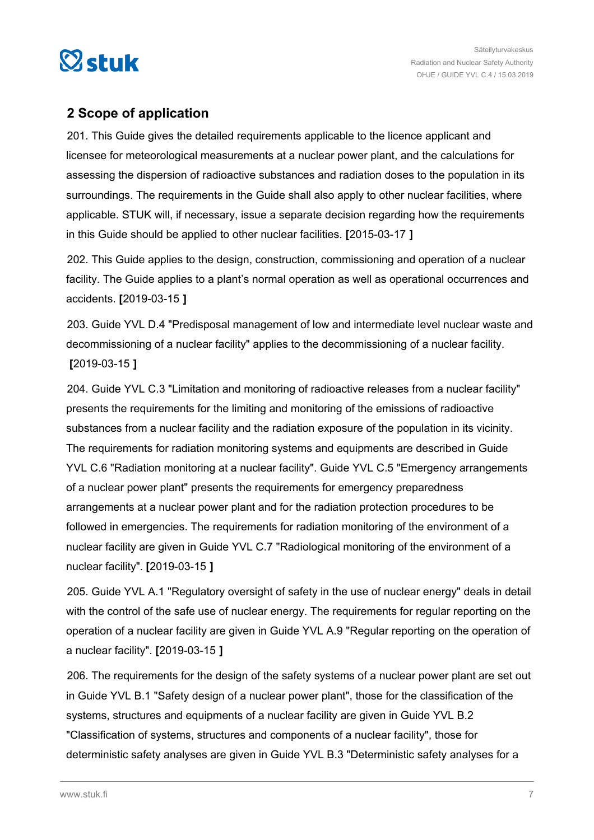<span id="page-6-0"></span>

### **2 Scope of application**

201. This Guide gives the detailed requirements applicable to the licence applicant and licensee for meteorological measurements at a nuclear power plant, and the calculations for assessing the dispersion of radioactive substances and radiation doses to the population in its surroundings. The requirements in the Guide shall also apply to other nuclear facilities, where applicable. STUK will, if necessary, issue a separate decision regarding how the requirements in this Guide should be applied to other nuclear facilities. **[**2015-03-17 **]**

202. This Guide applies to the design, construction, commissioning and operation of a nuclear facility. The Guide applies to a plant's normal operation as well as operational occurrences and accidents. **[**2019-03-15 **]**

203. Guide YVL D.4 "Predisposal management of low and intermediate level nuclear waste and decommissioning of a nuclear facility" applies to the decommissioning of a nuclear facility. **[**2019-03-15 **]**

204. Guide YVL C.3 "Limitation and monitoring of radioactive releases from a nuclear facility" presents the requirements for the limiting and monitoring of the emissions of radioactive substances from a nuclear facility and the radiation exposure of the population in its vicinity. The requirements for radiation monitoring systems and equipments are described in Guide YVL C.6 "Radiation monitoring at a nuclear facility". Guide YVL C.5 "Emergency arrangements of a nuclear power plant" presents the requirements for emergency preparedness arrangements at a nuclear power plant and for the radiation protection procedures to be followed in emergencies. The requirements for radiation monitoring of the environment of a nuclear facility are given in Guide YVL C.7 "Radiological monitoring of the environment of a nuclear facility". **[**2019-03-15 **]**

205. Guide YVL A.1 "Regulatory oversight of safety in the use of nuclear energy" deals in detail with the control of the safe use of nuclear energy. The requirements for regular reporting on the operation of a nuclear facility are given in Guide YVL A.9 "Regular reporting on the operation of a nuclear facility". **[**2019-03-15 **]**

206. The requirements for the design of the safety systems of a nuclear power plant are set out in Guide YVL B.1 "Safety design of a nuclear power plant", those for the classification of the systems, structures and equipments of a nuclear facility are given in Guide YVL B.2 "Classification of systems, structures and components of a nuclear facility", those for deterministic safety analyses are given in Guide YVL B.3 "Deterministic safety analyses for a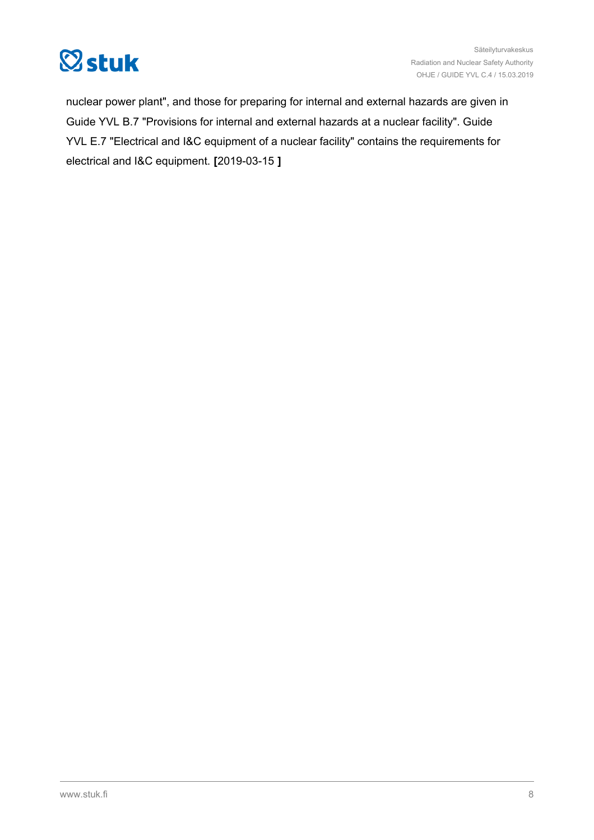

nuclear power plant", and those for preparing for internal and external hazards are given in Guide YVL B.7 "Provisions for internal and external hazards at a nuclear facility". Guide YVL E.7 "Electrical and I&C equipment of a nuclear facility" contains the requirements for electrical and I&C equipment. **[**2019-03-15 **]**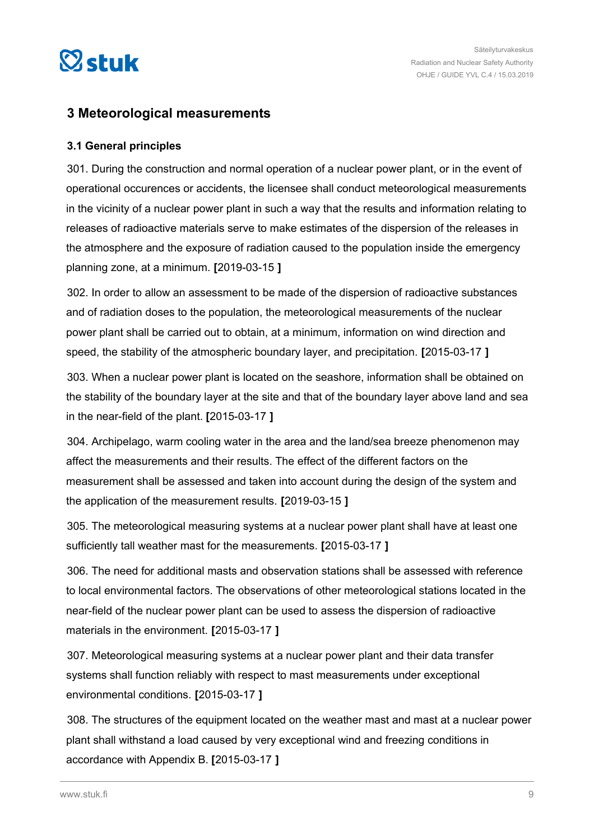<span id="page-8-0"></span>

### **3 Meteorological measurements**

### **3.1 General principles**

301. During the construction and normal operation of a nuclear power plant, or in the event of operational occurences or accidents, the licensee shall conduct meteorological measurements in the vicinity of a nuclear power plant in such a way that the results and information relating to releases of radioactive materials serve to make estimates of the dispersion of the releases in the atmosphere and the exposure of radiation caused to the population inside the emergency planning zone, at a minimum. **[**2019-03-15 **]**

302. In order to allow an assessment to be made of the dispersion of radioactive substances and of radiation doses to the population, the meteorological measurements of the nuclear power plant shall be carried out to obtain, at a minimum, information on wind direction and speed, the stability of the atmospheric boundary layer, and precipitation. **[**2015-03-17 **]**

303. When a nuclear power plant is located on the seashore, information shall be obtained on the stability of the boundary layer at the site and that of the boundary layer above land and sea in the near-field of the plant. **[**2015-03-17 **]**

304. Archipelago, warm cooling water in the area and the land/sea breeze phenomenon may affect the measurements and their results. The effect of the different factors on the measurement shall be assessed and taken into account during the design of the system and the application of the measurement results. **[**2019-03-15 **]**

305. The meteorological measuring systems at a nuclear power plant shall have at least one sufficiently tall weather mast for the measurements. **[**2015-03-17 **]**

306. The need for additional masts and observation stations shall be assessed with reference to local environmental factors. The observations of other meteorological stations located in the near-field of the nuclear power plant can be used to assess the dispersion of radioactive materials in the environment. **[**2015-03-17 **]**

307. Meteorological measuring systems at a nuclear power plant and their data transfer systems shall function reliably with respect to mast measurements under exceptional environmental conditions. **[**2015-03-17 **]**

308. The structures of the equipment located on the weather mast and mast at a nuclear power plant shall withstand a load caused by very exceptional wind and freezing conditions in accordance with Appendix B. **[**2015-03-17 **]**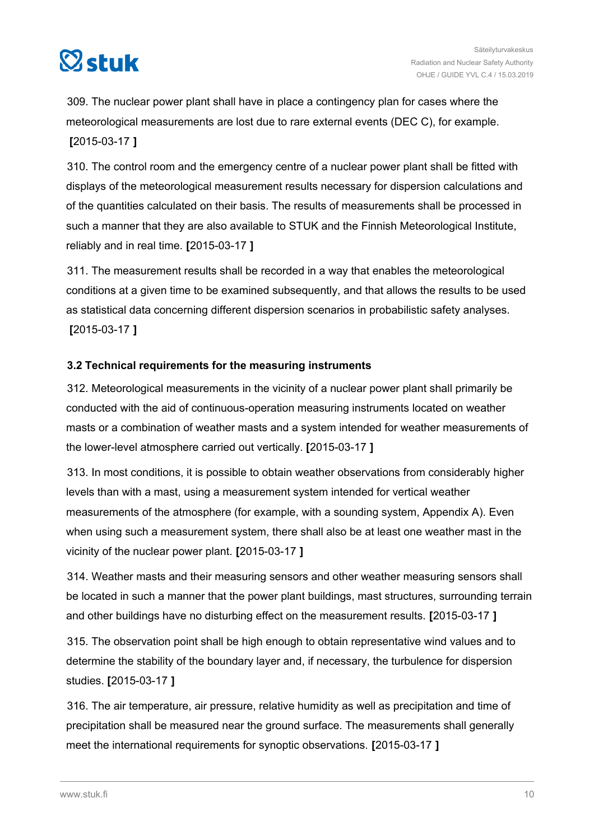<span id="page-9-0"></span>

309. The nuclear power plant shall have in place a contingency plan for cases where the meteorological measurements are lost due to rare external events (DEC C), for example. **[**2015-03-17 **]**

310. The control room and the emergency centre of a nuclear power plant shall be fitted with displays of the meteorological measurement results necessary for dispersion calculations and of the quantities calculated on their basis. The results of measurements shall be processed in such a manner that they are also available to STUK and the Finnish Meteorological Institute, reliably and in real time. **[**2015-03-17 **]**

311. The measurement results shall be recorded in a way that enables the meteorological conditions at a given time to be examined subsequently, and that allows the results to be used as statistical data concerning different dispersion scenarios in probabilistic safety analyses. **[**2015-03-17 **]**

### **3.2 Technical requirements for the measuring instruments**

312. Meteorological measurements in the vicinity of a nuclear power plant shall primarily be conducted with the aid of continuous-operation measuring instruments located on weather masts or a combination of weather masts and a system intended for weather measurements of the lower-level atmosphere carried out vertically. **[**2015-03-17 **]**

313. In most conditions, it is possible to obtain weather observations from considerably higher levels than with a mast, using a measurement system intended for vertical weather measurements of the atmosphere (for example, with a sounding system, Appendix A). Even when using such a measurement system, there shall also be at least one weather mast in the vicinity of the nuclear power plant. **[**2015-03-17 **]**

314. Weather masts and their measuring sensors and other weather measuring sensors shall be located in such a manner that the power plant buildings, mast structures, surrounding terrain and other buildings have no disturbing effect on the measurement results. **[**2015-03-17 **]**

315. The observation point shall be high enough to obtain representative wind values and to determine the stability of the boundary layer and, if necessary, the turbulence for dispersion studies. **[**2015-03-17 **]**

316. The air temperature, air pressure, relative humidity as well as precipitation and time of precipitation shall be measured near the ground surface. The measurements shall generally meet the international requirements for synoptic observations. **[**2015-03-17 **]**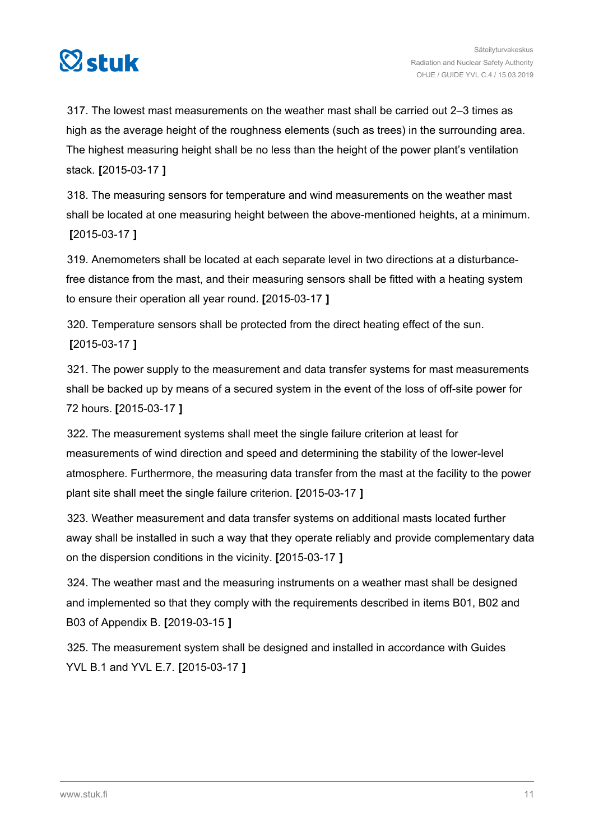

317. The lowest mast measurements on the weather mast shall be carried out 2–3 times as high as the average height of the roughness elements (such as trees) in the surrounding area. The highest measuring height shall be no less than the height of the power plant's ventilation stack. **[**2015-03-17 **]**

318. The measuring sensors for temperature and wind measurements on the weather mast shall be located at one measuring height between the above-mentioned heights, at a minimum. **[**2015-03-17 **]**

319. Anemometers shall be located at each separate level in two directions at a disturbancefree distance from the mast, and their measuring sensors shall be fitted with a heating system to ensure their operation all year round. **[**2015-03-17 **]**

320. Temperature sensors shall be protected from the direct heating effect of the sun. **[**2015-03-17 **]**

321. The power supply to the measurement and data transfer systems for mast measurements shall be backed up by means of a secured system in the event of the loss of off-site power for 72 hours. **[**2015-03-17 **]**

322. The measurement systems shall meet the single failure criterion at least for measurements of wind direction and speed and determining the stability of the lower-level atmosphere. Furthermore, the measuring data transfer from the mast at the facility to the power plant site shall meet the single failure criterion. **[**2015-03-17 **]**

323. Weather measurement and data transfer systems on additional masts located further away shall be installed in such a way that they operate reliably and provide complementary data on the dispersion conditions in the vicinity. **[**2015-03-17 **]**

324. The weather mast and the measuring instruments on a weather mast shall be designed and implemented so that they comply with the requirements described in items B01, B02 and B03 of Appendix B. **[**2019-03-15 **]**

325. The measurement system shall be designed and installed in accordance with Guides YVL B.1 and YVL E.7. **[**2015-03-17 **]**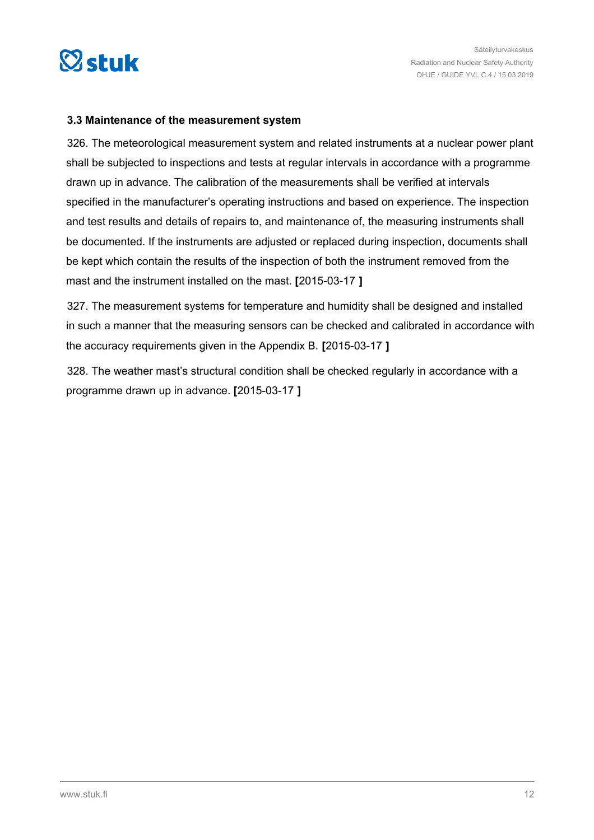<span id="page-11-0"></span>

#### **3.3 Maintenance of the measurement system**

326. The meteorological measurement system and related instruments at a nuclear power plant shall be subjected to inspections and tests at regular intervals in accordance with a programme drawn up in advance. The calibration of the measurements shall be verified at intervals specified in the manufacturer's operating instructions and based on experience. The inspection and test results and details of repairs to, and maintenance of, the measuring instruments shall be documented. If the instruments are adjusted or replaced during inspection, documents shall be kept which contain the results of the inspection of both the instrument removed from the mast and the instrument installed on the mast. **[**2015-03-17 **]**

327. The measurement systems for temperature and humidity shall be designed and installed in such a manner that the measuring sensors can be checked and calibrated in accordance with the accuracy requirements given in the Appendix B. **[**2015-03-17 **]**

328. The weather mast's structural condition shall be checked regularly in accordance with a programme drawn up in advance. **[**2015-03-17 **]**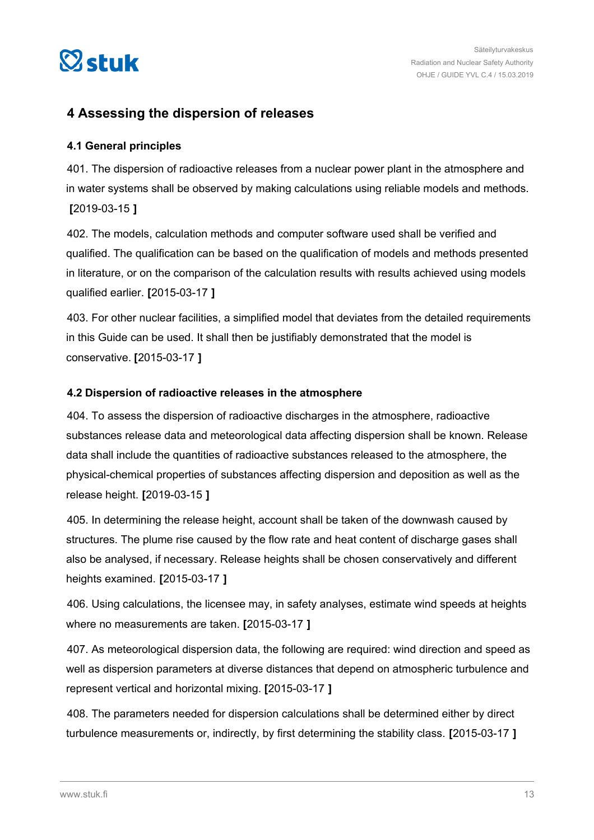<span id="page-12-0"></span>

### **4 Assessing the dispersion of releases**

### **4.1 General principles**

401. The dispersion of radioactive releases from a nuclear power plant in the atmosphere and in water systems shall be observed by making calculations using reliable models and methods. **[**2019-03-15 **]**

402. The models, calculation methods and computer software used shall be verified and qualified. The qualification can be based on the qualification of models and methods presented in literature, or on the comparison of the calculation results with results achieved using models qualified earlier. **[**2015-03-17 **]**

403. For other nuclear facilities, a simplified model that deviates from the detailed requirements in this Guide can be used. It shall then be justifiably demonstrated that the model is conservative. **[**2015-03-17 **]**

### **4.2 Dispersion of radioactive releases in the atmosphere**

404. To assess the dispersion of radioactive discharges in the atmosphere, radioactive substances release data and meteorological data affecting dispersion shall be known. Release data shall include the quantities of radioactive substances released to the atmosphere, the physical-chemical properties of substances affecting dispersion and deposition as well as the release height. **[**2019-03-15 **]**

405. In determining the release height, account shall be taken of the downwash caused by structures. The plume rise caused by the flow rate and heat content of discharge gases shall also be analysed, if necessary. Release heights shall be chosen conservatively and different heights examined. **[**2015-03-17 **]**

406. Using calculations, the licensee may, in safety analyses, estimate wind speeds at heights where no measurements are taken. **[**2015-03-17 **]**

407. As meteorological dispersion data, the following are required: wind direction and speed as well as dispersion parameters at diverse distances that depend on atmospheric turbulence and represent vertical and horizontal mixing. **[**2015-03-17 **]**

408. The parameters needed for dispersion calculations shall be determined either by direct turbulence measurements or, indirectly, by first determining the stability class. **[**2015-03-17 **]**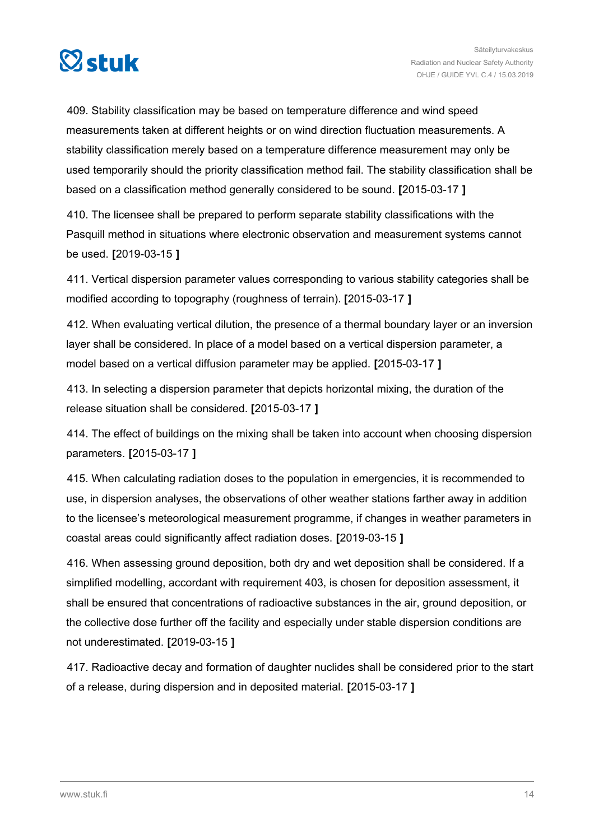

409. Stability classification may be based on temperature difference and wind speed measurements taken at different heights or on wind direction fluctuation measurements. A stability classification merely based on a temperature difference measurement may only be used temporarily should the priority classification method fail. The stability classification shall be based on a classification method generally considered to be sound. **[**2015-03-17 **]**

410. The licensee shall be prepared to perform separate stability classifications with the Pasquill method in situations where electronic observation and measurement systems cannot be used. **[**2019-03-15 **]**

411. Vertical dispersion parameter values corresponding to various stability categories shall be modified according to topography (roughness of terrain). **[**2015-03-17 **]**

412. When evaluating vertical dilution, the presence of a thermal boundary layer or an inversion layer shall be considered. In place of a model based on a vertical dispersion parameter, a model based on a vertical diffusion parameter may be applied. **[**2015-03-17 **]**

413. In selecting a dispersion parameter that depicts horizontal mixing, the duration of the release situation shall be considered. **[**2015-03-17 **]**

414. The effect of buildings on the mixing shall be taken into account when choosing dispersion parameters. **[**2015-03-17 **]**

415. When calculating radiation doses to the population in emergencies, it is recommended to use, in dispersion analyses, the observations of other weather stations farther away in addition to the licensee's meteorological measurement programme, if changes in weather parameters in coastal areas could significantly affect radiation doses. **[**2019-03-15 **]**

416. When assessing ground deposition, both dry and wet deposition shall be considered. If a simplified modelling, accordant with requirement 403, is chosen for deposition assessment, it shall be ensured that concentrations of radioactive substances in the air, ground deposition, or the collective dose further off the facility and especially under stable dispersion conditions are not underestimated. **[**2019-03-15 **]**

417. Radioactive decay and formation of daughter nuclides shall be considered prior to the start of a release, during dispersion and in deposited material. **[**2015-03-17 **]**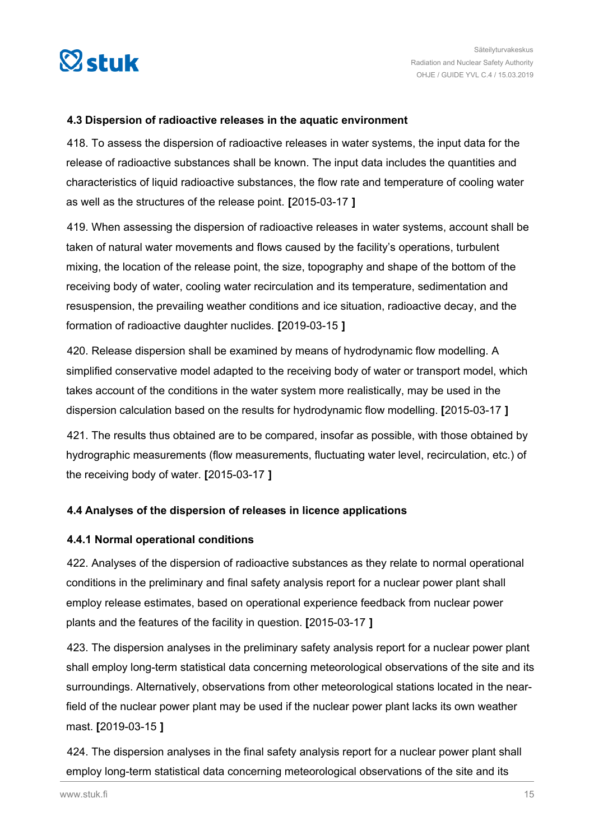<span id="page-14-0"></span>

#### **4.3 Dispersion of radioactive releases in the aquatic environment**

418. To assess the dispersion of radioactive releases in water systems, the input data for the release of radioactive substances shall be known. The input data includes the quantities and characteristics of liquid radioactive substances, the flow rate and temperature of cooling water as well as the structures of the release point. **[**2015-03-17 **]**

419. When assessing the dispersion of radioactive releases in water systems, account shall be taken of natural water movements and flows caused by the facility's operations, turbulent mixing, the location of the release point, the size, topography and shape of the bottom of the receiving body of water, cooling water recirculation and its temperature, sedimentation and resuspension, the prevailing weather conditions and ice situation, radioactive decay, and the formation of radioactive daughter nuclides. **[**2019-03-15 **]**

420. Release dispersion shall be examined by means of hydrodynamic flow modelling. A simplified conservative model adapted to the receiving body of water or transport model, which takes account of the conditions in the water system more realistically, may be used in the dispersion calculation based on the results for hydrodynamic flow modelling. **[**2015-03-17 **]**

421. The results thus obtained are to be compared, insofar as possible, with those obtained by hydrographic measurements (flow measurements, fluctuating water level, recirculation, etc.) of the receiving body of water. **[**2015-03-17 **]**

### **4.4 Analyses of the dispersion of releases in licence applications**

### **4.4.1 Normal operational conditions**

422. Analyses of the dispersion of radioactive substances as they relate to normal operational conditions in the preliminary and final safety analysis report for a nuclear power plant shall employ release estimates, based on operational experience feedback from nuclear power plants and the features of the facility in question. **[**2015-03-17 **]**

423. The dispersion analyses in the preliminary safety analysis report for a nuclear power plant shall employ long-term statistical data concerning meteorological observations of the site and its surroundings. Alternatively, observations from other meteorological stations located in the nearfield of the nuclear power plant may be used if the nuclear power plant lacks its own weather mast. **[**2019-03-15 **]**

424. The dispersion analyses in the final safety analysis report for a nuclear power plant shall employ long-term statistical data concerning meteorological observations of the site and its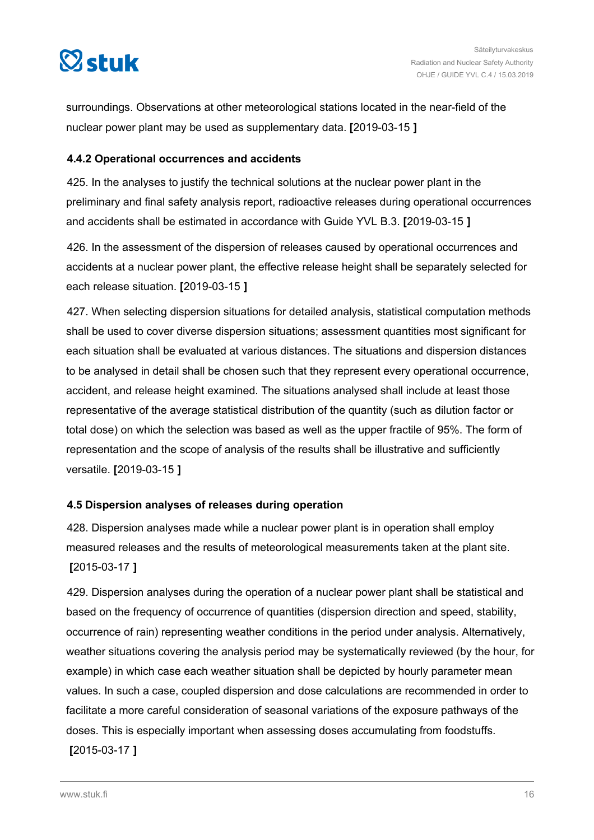<span id="page-15-0"></span>

surroundings. Observations at other meteorological stations located in the near-field of the nuclear power plant may be used as supplementary data. **[**2019-03-15 **]**

### **4.4.2 Operational occurrences and accidents**

425. In the analyses to justify the technical solutions at the nuclear power plant in the preliminary and final safety analysis report, radioactive releases during operational occurrences and accidents shall be estimated in accordance with Guide YVL B.3. **[**2019-03-15 **]**

426. In the assessment of the dispersion of releases caused by operational occurrences and accidents at a nuclear power plant, the effective release height shall be separately selected for each release situation. **[**2019-03-15 **]**

427. When selecting dispersion situations for detailed analysis, statistical computation methods shall be used to cover diverse dispersion situations; assessment quantities most significant for each situation shall be evaluated at various distances. The situations and dispersion distances to be analysed in detail shall be chosen such that they represent every operational occurrence, accident, and release height examined. The situations analysed shall include at least those representative of the average statistical distribution of the quantity (such as dilution factor or total dose) on which the selection was based as well as the upper fractile of 95%. The form of representation and the scope of analysis of the results shall be illustrative and sufficiently versatile. **[**2019-03-15 **]**

### **4.5 Dispersion analyses of releases during operation**

428. Dispersion analyses made while a nuclear power plant is in operation shall employ measured releases and the results of meteorological measurements taken at the plant site. **[**2015-03-17 **]**

429. Dispersion analyses during the operation of a nuclear power plant shall be statistical and based on the frequency of occurrence of quantities (dispersion direction and speed, stability, occurrence of rain) representing weather conditions in the period under analysis. Alternatively, weather situations covering the analysis period may be systematically reviewed (by the hour, for example) in which case each weather situation shall be depicted by hourly parameter mean values. In such a case, coupled dispersion and dose calculations are recommended in order to facilitate a more careful consideration of seasonal variations of the exposure pathways of the doses. This is especially important when assessing doses accumulating from foodstuffs. **[**2015-03-17 **]**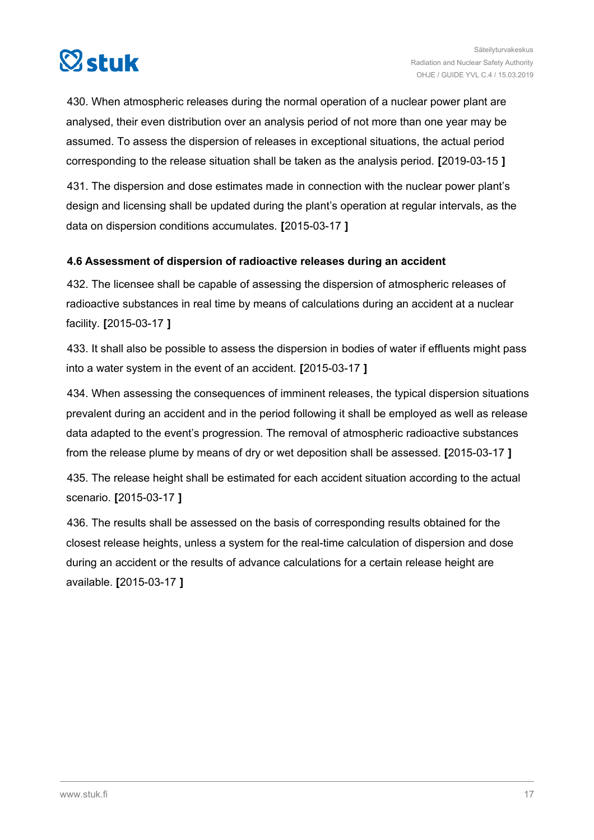<span id="page-16-0"></span>

430. When atmospheric releases during the normal operation of a nuclear power plant are analysed, their even distribution over an analysis period of not more than one year may be assumed. To assess the dispersion of releases in exceptional situations, the actual period corresponding to the release situation shall be taken as the analysis period. **[**2019-03-15 **]**

431. The dispersion and dose estimates made in connection with the nuclear power plant's design and licensing shall be updated during the plant's operation at regular intervals, as the data on dispersion conditions accumulates. **[**2015-03-17 **]**

### **4.6 Assessment of dispersion of radioactive releases during an accident**

432. The licensee shall be capable of assessing the dispersion of atmospheric releases of radioactive substances in real time by means of calculations during an accident at a nuclear facility. **[**2015-03-17 **]**

433. It shall also be possible to assess the dispersion in bodies of water if effluents might pass into a water system in the event of an accident. **[**2015-03-17 **]**

434. When assessing the consequences of imminent releases, the typical dispersion situations prevalent during an accident and in the period following it shall be employed as well as release data adapted to the event's progression. The removal of atmospheric radioactive substances from the release plume by means of dry or wet deposition shall be assessed. **[**2015-03-17 **]**

435. The release height shall be estimated for each accident situation according to the actual scenario. **[**2015-03-17 **]**

436. The results shall be assessed on the basis of corresponding results obtained for the closest release heights, unless a system for the real-time calculation of dispersion and dose during an accident or the results of advance calculations for a certain release height are available. **[**2015-03-17 **]**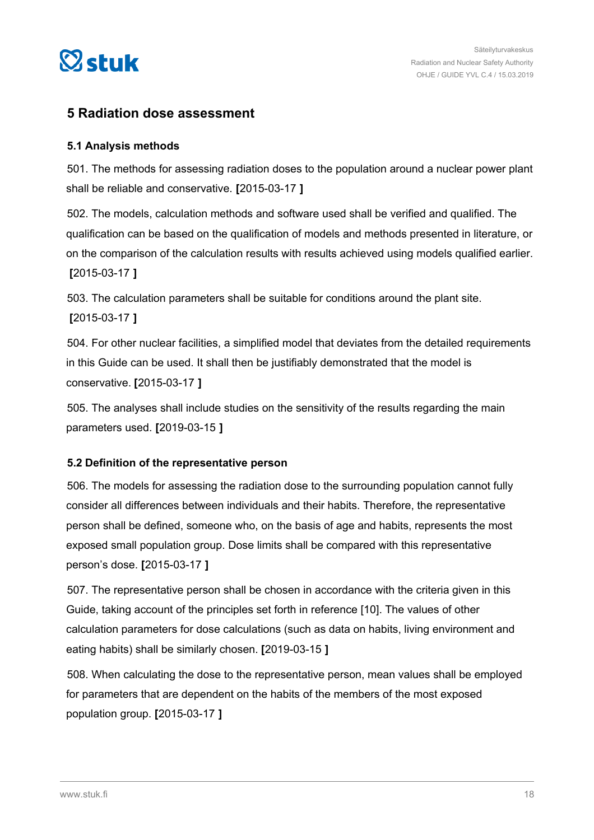<span id="page-17-0"></span>

### **5 Radiation dose assessment**

### **5.1 Analysis methods**

501. The methods for assessing radiation doses to the population around a nuclear power plant shall be reliable and conservative. **[**2015-03-17 **]**

502. The models, calculation methods and software used shall be verified and qualified. The qualification can be based on the qualification of models and methods presented in literature, or on the comparison of the calculation results with results achieved using models qualified earlier. **[**2015-03-17 **]**

503. The calculation parameters shall be suitable for conditions around the plant site. **[**2015-03-17 **]**

504. For other nuclear facilities, a simplified model that deviates from the detailed requirements in this Guide can be used. It shall then be justifiably demonstrated that the model is conservative. **[**2015-03-17 **]**

505. The analyses shall include studies on the sensitivity of the results regarding the main parameters used. **[**2019-03-15 **]**

### **5.2 Definition of the representative person**

506. The models for assessing the radiation dose to the surrounding population cannot fully consider all differences between individuals and their habits. Therefore, the representative person shall be defined, someone who, on the basis of age and habits, represents the most exposed small population group. Dose limits shall be compared with this representative person's dose. **[**2015-03-17 **]**

507. The representative person shall be chosen in accordance with the criteria given in this Guide, taking account of the principles set forth in reference [10]. The values of other calculation parameters for dose calculations (such as data on habits, living environment and eating habits) shall be similarly chosen. **[**2019-03-15 **]**

508. When calculating the dose to the representative person, mean values shall be employed for parameters that are dependent on the habits of the members of the most exposed population group. **[**2015-03-17 **]**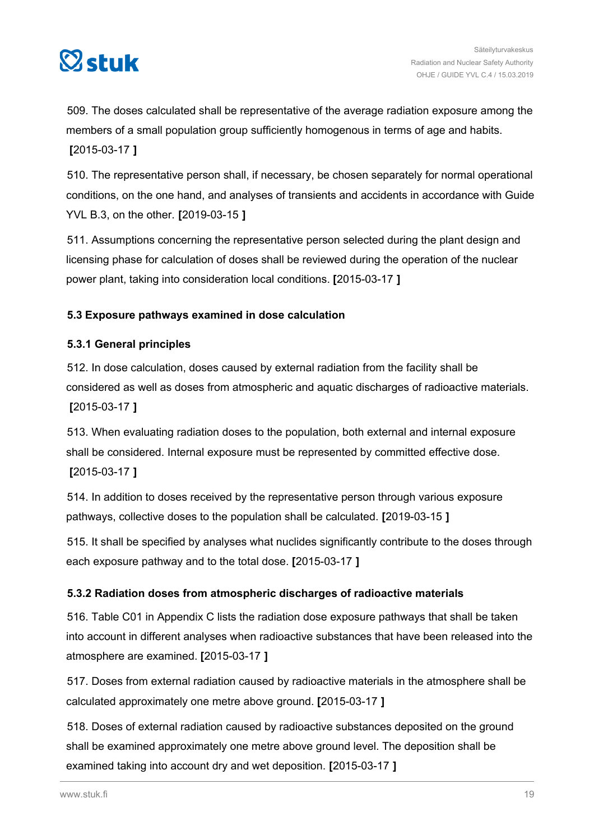<span id="page-18-0"></span>

509. The doses calculated shall be representative of the average radiation exposure among the members of a small population group sufficiently homogenous in terms of age and habits. **[**2015-03-17 **]**

510. The representative person shall, if necessary, be chosen separately for normal operational conditions, on the one hand, and analyses of transients and accidents in accordance with Guide YVL B.3, on the other. **[**2019-03-15 **]**

511. Assumptions concerning the representative person selected during the plant design and licensing phase for calculation of doses shall be reviewed during the operation of the nuclear power plant, taking into consideration local conditions. **[**2015-03-17 **]**

### **5.3 Exposure pathways examined in dose calculation**

### **5.3.1 General principles**

512. In dose calculation, doses caused by external radiation from the facility shall be considered as well as doses from atmospheric and aquatic discharges of radioactive materials. **[**2015-03-17 **]**

513. When evaluating radiation doses to the population, both external and internal exposure shall be considered. Internal exposure must be represented by committed effective dose. **[**2015-03-17 **]**

514. In addition to doses received by the representative person through various exposure pathways, collective doses to the population shall be calculated. **[**2019-03-15 **]**

515. It shall be specified by analyses what nuclides significantly contribute to the doses through each exposure pathway and to the total dose. **[**2015-03-17 **]**

### **5.3.2 Radiation doses from atmospheric discharges of radioactive materials**

516. Table C01 in Appendix C lists the radiation dose exposure pathways that shall be taken into account in different analyses when radioactive substances that have been released into the atmosphere are examined. **[**2015-03-17 **]**

517. Doses from external radiation caused by radioactive materials in the atmosphere shall be calculated approximately one metre above ground. **[**2015-03-17 **]**

518. Doses of external radiation caused by radioactive substances deposited on the ground shall be examined approximately one metre above ground level. The deposition shall be examined taking into account dry and wet deposition. **[**2015-03-17 **]**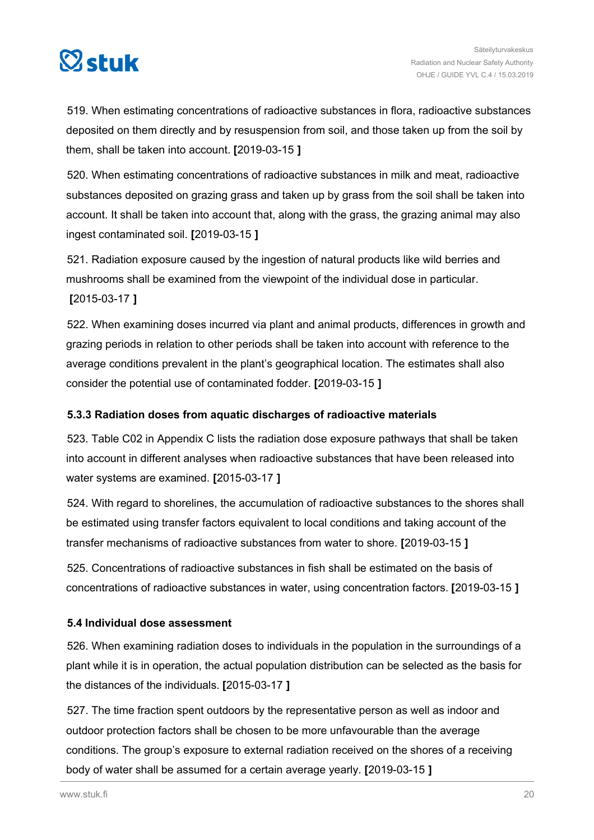<span id="page-19-0"></span>

519. When estimating concentrations of radioactive substances in flora, radioactive substances deposited on them directly and by resuspension from soil, and those taken up from the soil by them, shall be taken into account. **[**2019-03-15 **]**

520. When estimating concentrations of radioactive substances in milk and meat, radioactive substances deposited on grazing grass and taken up by grass from the soil shall be taken into account. It shall be taken into account that, along with the grass, the grazing animal may also ingest contaminated soil. **[**2019-03-15 **]**

521. Radiation exposure caused by the ingestion of natural products like wild berries and mushrooms shall be examined from the viewpoint of the individual dose in particular. **[**2015-03-17 **]**

522. When examining doses incurred via plant and animal products, differences in growth and grazing periods in relation to other periods shall be taken into account with reference to the average conditions prevalent in the plant's geographical location. The estimates shall also consider the potential use of contaminated fodder. **[**2019-03-15 **]**

### **5.3.3 Radiation doses from aquatic discharges of radioactive materials**

523. Table C02 in Appendix C lists the radiation dose exposure pathways that shall be taken into account in different analyses when radioactive substances that have been released into water systems are examined. **[**2015-03-17 **]**

524. With regard to shorelines, the accumulation of radioactive substances to the shores shall be estimated using transfer factors equivalent to local conditions and taking account of the transfer mechanisms of radioactive substances from water to shore. **[**2019-03-15 **]**

525. Concentrations of radioactive substances in fish shall be estimated on the basis of concentrations of radioactive substances in water, using concentration factors. **[**2019-03-15 **]**

### **5.4 Individual dose assessment**

526. When examining radiation doses to individuals in the population in the surroundings of a plant while it is in operation, the actual population distribution can be selected as the basis for the distances of the individuals. **[**2015-03-17 **]**

527. The time fraction spent outdoors by the representative person as well as indoor and outdoor protection factors shall be chosen to be more unfavourable than the average conditions. The group's exposure to external radiation received on the shores of a receiving body of water shall be assumed for a certain average yearly. **[**2019-03-15 **]**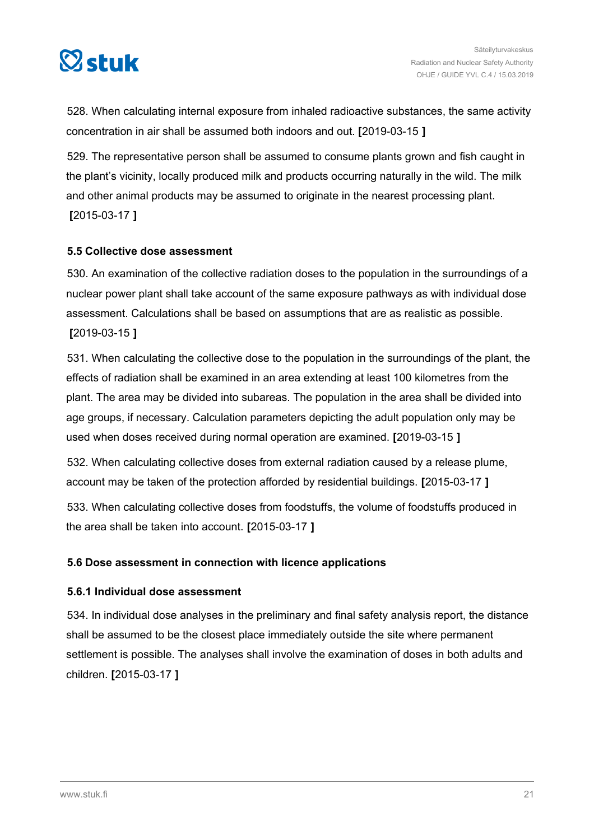<span id="page-20-0"></span>

528. When calculating internal exposure from inhaled radioactive substances, the same activity concentration in air shall be assumed both indoors and out. **[**2019-03-15 **]**

529. The representative person shall be assumed to consume plants grown and fish caught in the plant's vicinity, locally produced milk and products occurring naturally in the wild. The milk and other animal products may be assumed to originate in the nearest processing plant. **[**2015-03-17 **]**

### **5.5 Collective dose assessment**

530. An examination of the collective radiation doses to the population in the surroundings of a nuclear power plant shall take account of the same exposure pathways as with individual dose assessment. Calculations shall be based on assumptions that are as realistic as possible. **[**2019-03-15 **]**

531. When calculating the collective dose to the population in the surroundings of the plant, the effects of radiation shall be examined in an area extending at least 100 kilometres from the plant. The area may be divided into subareas. The population in the area shall be divided into age groups, if necessary. Calculation parameters depicting the adult population only may be used when doses received during normal operation are examined. **[**2019-03-15 **]**

532. When calculating collective doses from external radiation caused by a release plume, account may be taken of the protection afforded by residential buildings. **[**2015-03-17 **]**

533. When calculating collective doses from foodstuffs, the volume of foodstuffs produced in the area shall be taken into account. **[**2015-03-17 **]**

### **5.6 Dose assessment in connection with licence applications**

#### **5.6.1 Individual dose assessment**

534. In individual dose analyses in the preliminary and final safety analysis report, the distance shall be assumed to be the closest place immediately outside the site where permanent settlement is possible. The analyses shall involve the examination of doses in both adults and children. **[**2015-03-17 **]**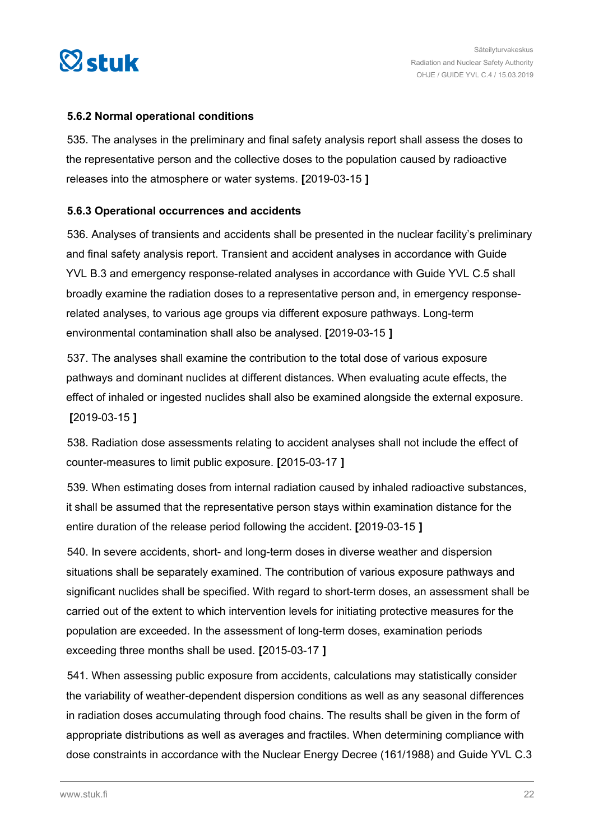<span id="page-21-0"></span>

### **5.6.2 Normal operational conditions**

535. The analyses in the preliminary and final safety analysis report shall assess the doses to the representative person and the collective doses to the population caused by radioactive releases into the atmosphere or water systems. **[**2019-03-15 **]**

### **5.6.3 Operational occurrences and accidents**

536. Analyses of transients and accidents shall be presented in the nuclear facility's preliminary and final safety analysis report. Transient and accident analyses in accordance with Guide YVL B.3 and emergency response-related analyses in accordance with Guide YVL C.5 shall broadly examine the radiation doses to a representative person and, in emergency responserelated analyses, to various age groups via different exposure pathways. Long-term environmental contamination shall also be analysed. **[**2019-03-15 **]**

537. The analyses shall examine the contribution to the total dose of various exposure pathways and dominant nuclides at different distances. When evaluating acute effects, the effect of inhaled or ingested nuclides shall also be examined alongside the external exposure. **[**2019-03-15 **]**

538. Radiation dose assessments relating to accident analyses shall not include the effect of counter-measures to limit public exposure. **[**2015-03-17 **]**

539. When estimating doses from internal radiation caused by inhaled radioactive substances, it shall be assumed that the representative person stays within examination distance for the entire duration of the release period following the accident. **[**2019-03-15 **]**

540. In severe accidents, short- and long-term doses in diverse weather and dispersion situations shall be separately examined. The contribution of various exposure pathways and significant nuclides shall be specified. With regard to short-term doses, an assessment shall be carried out of the extent to which intervention levels for initiating protective measures for the population are exceeded. In the assessment of long-term doses, examination periods exceeding three months shall be used. **[**2015-03-17 **]**

541. When assessing public exposure from accidents, calculations may statistically consider the variability of weather-dependent dispersion conditions as well as any seasonal differences in radiation doses accumulating through food chains. The results shall be given in the form of appropriate distributions as well as averages and fractiles. When determining compliance with dose constraints in accordance with the Nuclear Energy Decree (161/1988) and Guide YVL C.3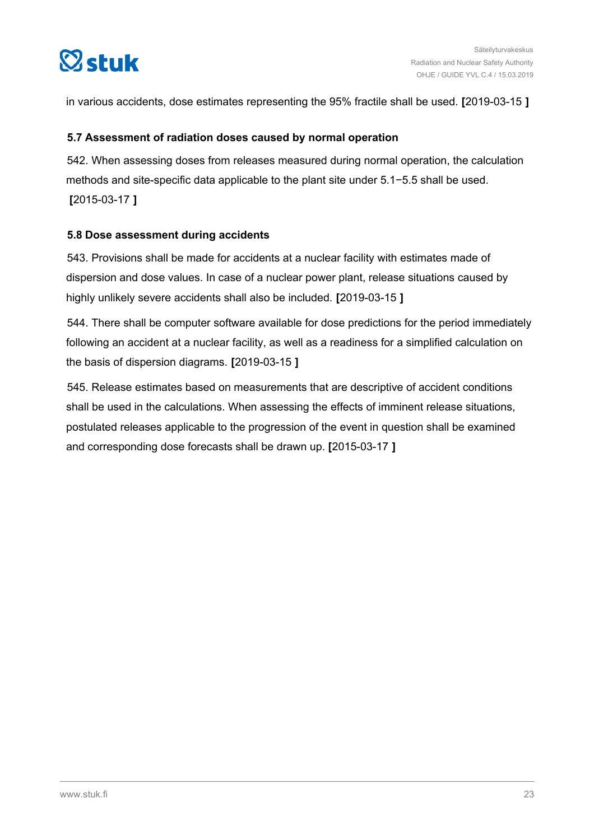<span id="page-22-0"></span>

in various accidents, dose estimates representing the 95% fractile shall be used. **[**2019-03-15 **]**

#### **5.7 Assessment of radiation doses caused by normal operation**

542. When assessing doses from releases measured during normal operation, the calculation methods and site-specific data applicable to the plant site under 5.1−5.5 shall be used. **[**2015-03-17 **]**

### **5.8 Dose assessment during accidents**

543. Provisions shall be made for accidents at a nuclear facility with estimates made of dispersion and dose values. In case of a nuclear power plant, release situations caused by highly unlikely severe accidents shall also be included. **[**2019-03-15 **]**

544. There shall be computer software available for dose predictions for the period immediately following an accident at a nuclear facility, as well as a readiness for a simplified calculation on the basis of dispersion diagrams. **[**2019-03-15 **]**

545. Release estimates based on measurements that are descriptive of accident conditions shall be used in the calculations. When assessing the effects of imminent release situations, postulated releases applicable to the progression of the event in question shall be examined and corresponding dose forecasts shall be drawn up. **[**2015-03-17 **]**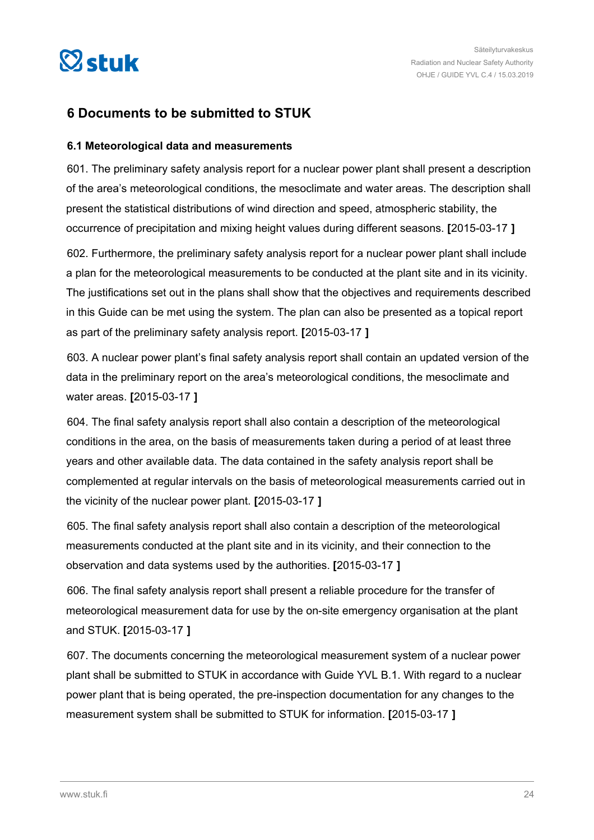<span id="page-23-0"></span>

### **6 Documents to be submitted to STUK**

#### **6.1 Meteorological data and measurements**

601. The preliminary safety analysis report for a nuclear power plant shall present a description of the area's meteorological conditions, the mesoclimate and water areas. The description shall present the statistical distributions of wind direction and speed, atmospheric stability, the occurrence of precipitation and mixing height values during different seasons. **[**2015-03-17 **]**

602. Furthermore, the preliminary safety analysis report for a nuclear power plant shall include a plan for the meteorological measurements to be conducted at the plant site and in its vicinity. The justifications set out in the plans shall show that the objectives and requirements described in this Guide can be met using the system. The plan can also be presented as a topical report as part of the preliminary safety analysis report. **[**2015-03-17 **]**

603. A nuclear power plant's final safety analysis report shall contain an updated version of the data in the preliminary report on the area's meteorological conditions, the mesoclimate and water areas. **[**2015-03-17 **]**

604. The final safety analysis report shall also contain a description of the meteorological conditions in the area, on the basis of measurements taken during a period of at least three years and other available data. The data contained in the safety analysis report shall be complemented at regular intervals on the basis of meteorological measurements carried out in the vicinity of the nuclear power plant. **[**2015-03-17 **]**

605. The final safety analysis report shall also contain a description of the meteorological measurements conducted at the plant site and in its vicinity, and their connection to the observation and data systems used by the authorities. **[**2015-03-17 **]**

606. The final safety analysis report shall present a reliable procedure for the transfer of meteorological measurement data for use by the on-site emergency organisation at the plant and STUK. **[**2015-03-17 **]**

607. The documents concerning the meteorological measurement system of a nuclear power plant shall be submitted to STUK in accordance with Guide YVL B.1. With regard to a nuclear power plant that is being operated, the pre-inspection documentation for any changes to the measurement system shall be submitted to STUK for information. **[**2015-03-17 **]**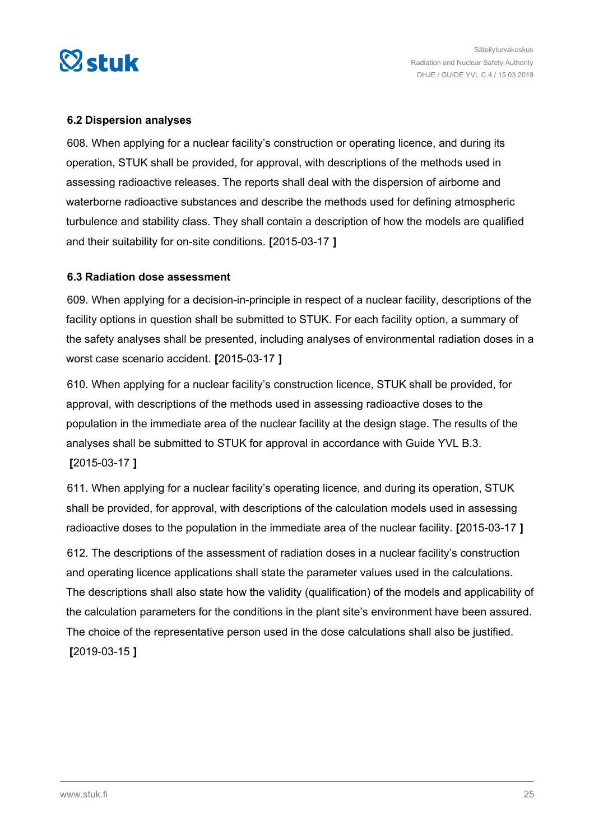<span id="page-24-0"></span>

### **6.2 Dispersion analyses**

608. When applying for a nuclear facility's construction or operating licence, and during its operation, STUK shall be provided, for approval, with descriptions of the methods used in assessing radioactive releases. The reports shall deal with the dispersion of airborne and waterborne radioactive substances and describe the methods used for defining atmospheric turbulence and stability class. They shall contain a description of how the models are qualified and their suitability for on-site conditions. **[**2015-03-17 **]**

#### **6.3 Radiation dose assessment**

609. When applying for a decision-in-principle in respect of a nuclear facility, descriptions of the facility options in question shall be submitted to STUK. For each facility option, a summary of the safety analyses shall be presented, including analyses of environmental radiation doses in a worst case scenario accident. **[**2015-03-17 **]**

610. When applying for a nuclear facility's construction licence, STUK shall be provided, for approval, with descriptions of the methods used in assessing radioactive doses to the population in the immediate area of the nuclear facility at the design stage. The results of the analyses shall be submitted to STUK for approval in accordance with Guide YVL B.3. **[**2015-03-17 **]**

611. When applying for a nuclear facility's operating licence, and during its operation, STUK shall be provided, for approval, with descriptions of the calculation models used in assessing radioactive doses to the population in the immediate area of the nuclear facility. **[**2015-03-17 **]**

612. The descriptions of the assessment of radiation doses in a nuclear facility's construction and operating licence applications shall state the parameter values used in the calculations. The descriptions shall also state how the validity (qualification) of the models and applicability of the calculation parameters for the conditions in the plant site's environment have been assured. The choice of the representative person used in the dose calculations shall also be justified. **[**2019-03-15 **]**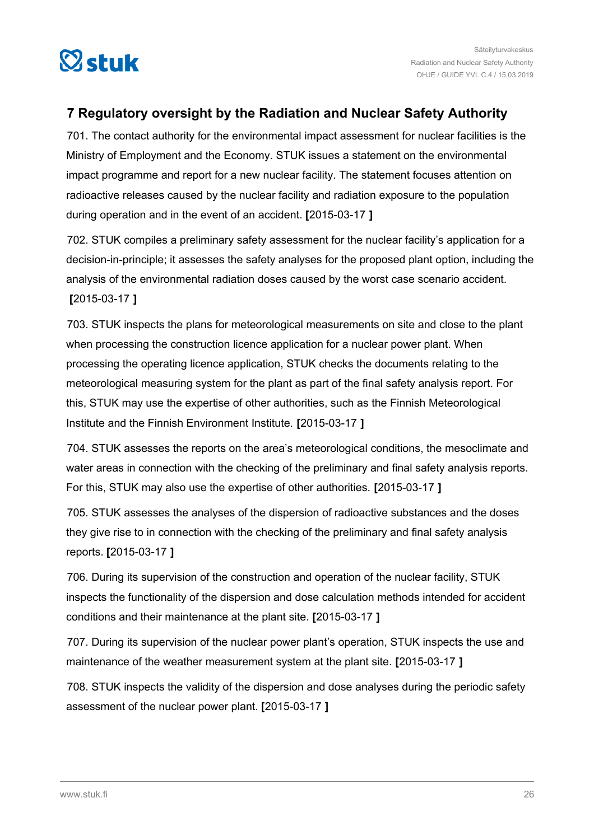<span id="page-25-0"></span>

### **7 Regulatory oversight by the Radiation and Nuclear Safety Authority**

701. The contact authority for the environmental impact assessment for nuclear facilities is the Ministry of Employment and the Economy. STUK issues a statement on the environmental impact programme and report for a new nuclear facility. The statement focuses attention on radioactive releases caused by the nuclear facility and radiation exposure to the population during operation and in the event of an accident. **[**2015-03-17 **]**

702. STUK compiles a preliminary safety assessment for the nuclear facility's application for a decision-in-principle; it assesses the safety analyses for the proposed plant option, including the analysis of the environmental radiation doses caused by the worst case scenario accident. **[**2015-03-17 **]**

703. STUK inspects the plans for meteorological measurements on site and close to the plant when processing the construction licence application for a nuclear power plant. When processing the operating licence application, STUK checks the documents relating to the meteorological measuring system for the plant as part of the final safety analysis report. For this, STUK may use the expertise of other authorities, such as the Finnish Meteorological Institute and the Finnish Environment Institute. **[**2015-03-17 **]**

704. STUK assesses the reports on the area's meteorological conditions, the mesoclimate and water areas in connection with the checking of the preliminary and final safety analysis reports. For this, STUK may also use the expertise of other authorities. **[**2015-03-17 **]**

705. STUK assesses the analyses of the dispersion of radioactive substances and the doses they give rise to in connection with the checking of the preliminary and final safety analysis reports. **[**2015-03-17 **]**

706. During its supervision of the construction and operation of the nuclear facility, STUK inspects the functionality of the dispersion and dose calculation methods intended for accident conditions and their maintenance at the plant site. **[**2015-03-17 **]**

707. During its supervision of the nuclear power plant's operation, STUK inspects the use and maintenance of the weather measurement system at the plant site. **[**2015-03-17 **]**

708. STUK inspects the validity of the dispersion and dose analyses during the periodic safety assessment of the nuclear power plant. **[**2015-03-17 **]**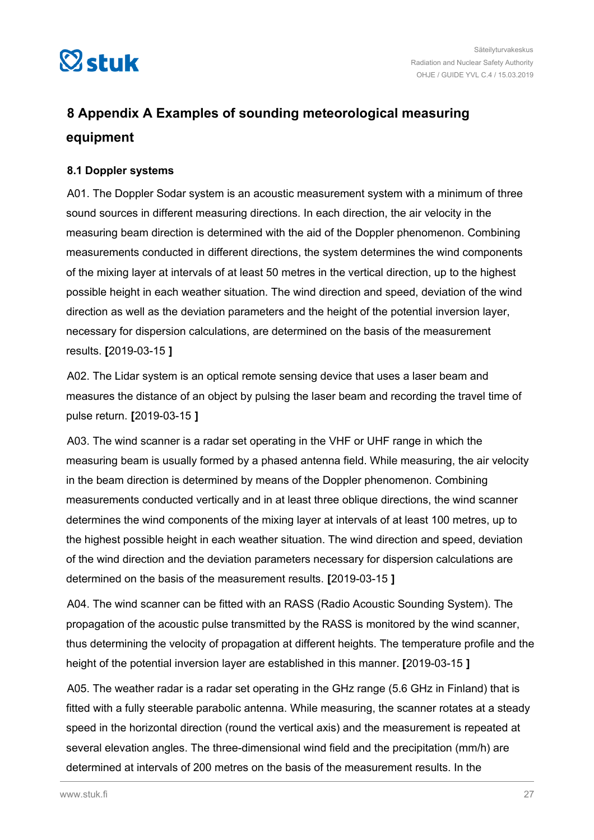<span id="page-26-0"></span>

### **8 Appendix A Examples of sounding meteorological measuring equipment**

### **8.1 Doppler systems**

A01. The Doppler Sodar system is an acoustic measurement system with a minimum of three sound sources in different measuring directions. In each direction, the air velocity in the measuring beam direction is determined with the aid of the Doppler phenomenon. Combining measurements conducted in different directions, the system determines the wind components of the mixing layer at intervals of at least 50 metres in the vertical direction, up to the highest possible height in each weather situation. The wind direction and speed, deviation of the wind direction as well as the deviation parameters and the height of the potential inversion layer, necessary for dispersion calculations, are determined on the basis of the measurement results. **[**2019-03-15 **]**

A02. The Lidar system is an optical remote sensing device that uses a laser beam and measures the distance of an object by pulsing the laser beam and recording the travel time of pulse return. **[**2019-03-15 **]**

A03. The wind scanner is a radar set operating in the VHF or UHF range in which the measuring beam is usually formed by a phased antenna field. While measuring, the air velocity in the beam direction is determined by means of the Doppler phenomenon. Combining measurements conducted vertically and in at least three oblique directions, the wind scanner determines the wind components of the mixing layer at intervals of at least 100 metres, up to the highest possible height in each weather situation. The wind direction and speed, deviation of the wind direction and the deviation parameters necessary for dispersion calculations are determined on the basis of the measurement results. **[**2019-03-15 **]**

A04. The wind scanner can be fitted with an RASS (Radio Acoustic Sounding System). The propagation of the acoustic pulse transmitted by the RASS is monitored by the wind scanner, thus determining the velocity of propagation at different heights. The temperature profile and the height of the potential inversion layer are established in this manner. **[**2019-03-15 **]**

A05. The weather radar is a radar set operating in the GHz range (5.6 GHz in Finland) that is fitted with a fully steerable parabolic antenna. While measuring, the scanner rotates at a steady speed in the horizontal direction (round the vertical axis) and the measurement is repeated at several elevation angles. The three-dimensional wind field and the precipitation (mm/h) are determined at intervals of 200 metres on the basis of the measurement results. In the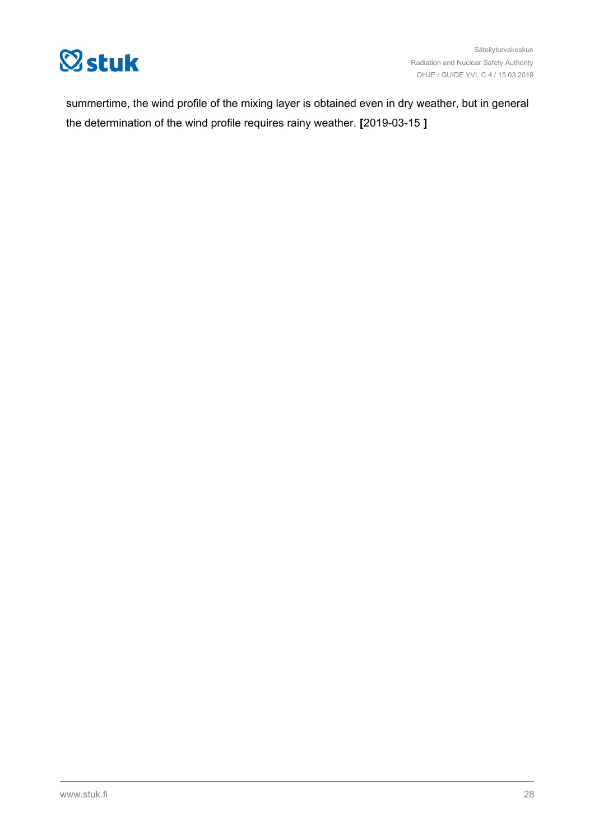

summertime, the wind profile of the mixing layer is obtained even in dry weather, but in general the determination of the wind profile requires rainy weather. **[**2019-03-15 **]**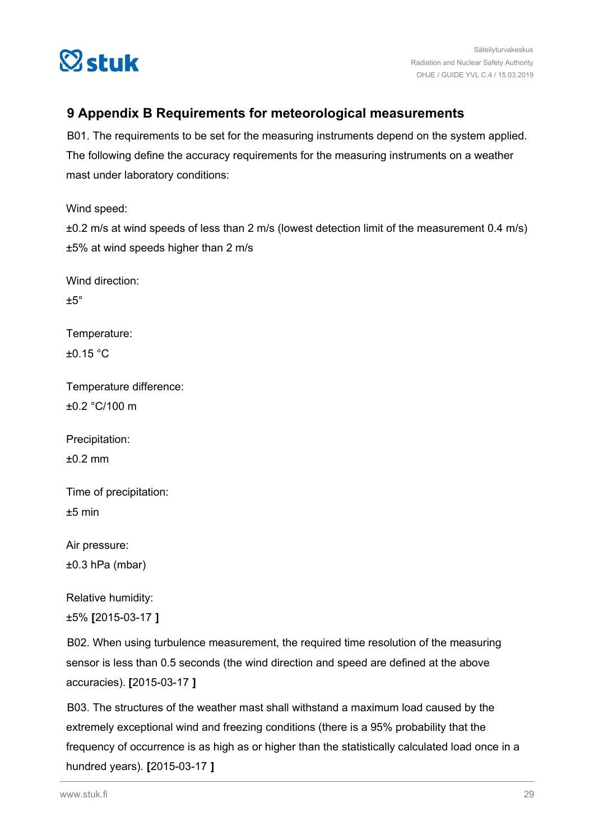<span id="page-28-0"></span>

### **9 Appendix B Requirements for meteorological measurements**

B01. The requirements to be set for the measuring instruments depend on the system applied. The following define the accuracy requirements for the measuring instruments on a weather mast under laboratory conditions:

Wind speed:

±0.2 m/s at wind speeds of less than 2 m/s (lowest detection limit of the measurement 0.4 m/s) ±5% at wind speeds higher than 2 m/s

Wind direction:  $+5^\circ$ 

Temperature: ±0.15 °C

Temperature difference: ±0.2 °C/100 m

Precipitation: ±0.2 mm

Time of precipitation: ±5 min

Air pressure: ±0.3 hPa (mbar)

Relative humidity:

±5% **[**2015-03-17 **]**

B02. When using turbulence measurement, the required time resolution of the measuring sensor is less than 0.5 seconds (the wind direction and speed are defined at the above accuracies). **[**2015-03-17 **]**

B03. The structures of the weather mast shall withstand a maximum load caused by the extremely exceptional wind and freezing conditions (there is a 95% probability that the frequency of occurrence is as high as or higher than the statistically calculated load once in a hundred years). **[**2015-03-17 **]**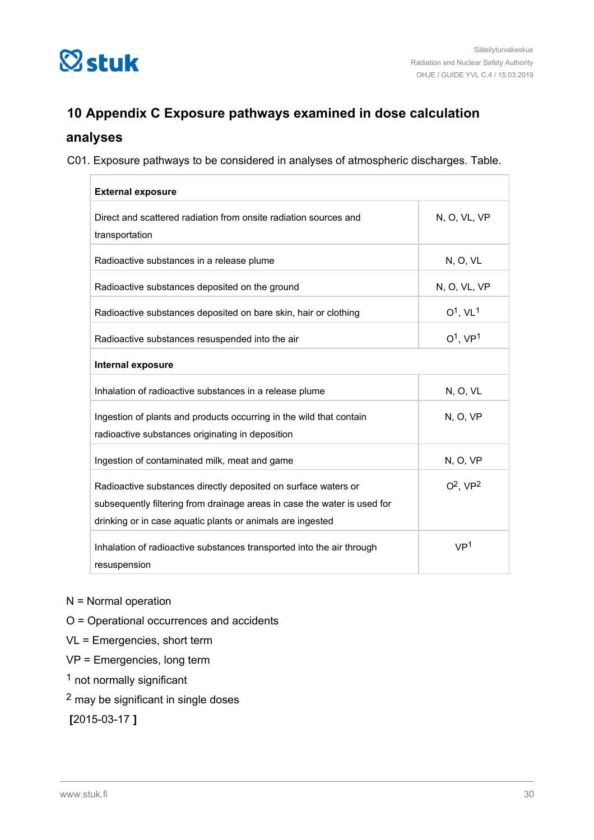<span id="page-29-0"></span>

### **10 Appendix C Exposure pathways examined in dose calculation**

### **analyses**

C01. Exposure pathways to be considered in analyses of atmospheric discharges. Table.

| <b>External exposure</b>                                                                                                                                                                                 |                        |  |  |  |  |
|----------------------------------------------------------------------------------------------------------------------------------------------------------------------------------------------------------|------------------------|--|--|--|--|
| Direct and scattered radiation from onsite radiation sources and<br>transportation                                                                                                                       | N, O, VL, VP           |  |  |  |  |
| Radioactive substances in a release plume                                                                                                                                                                | <b>N, O, VL</b>        |  |  |  |  |
| Radioactive substances deposited on the ground                                                                                                                                                           | N, O, VL, VP           |  |  |  |  |
| Radioactive substances deposited on bare skin, hair or clothing                                                                                                                                          | $O1$ . VL <sup>1</sup> |  |  |  |  |
| Radioactive substances resuspended into the air                                                                                                                                                          | $O1$ , VP <sup>1</sup> |  |  |  |  |
| Internal exposure                                                                                                                                                                                        |                        |  |  |  |  |
| Inhalation of radioactive substances in a release plume                                                                                                                                                  | N, O, VL               |  |  |  |  |
| Ingestion of plants and products occurring in the wild that contain<br>radioactive substances originating in deposition                                                                                  | N, O, VP               |  |  |  |  |
| Ingestion of contaminated milk, meat and game                                                                                                                                                            | N, O, VP               |  |  |  |  |
| Radioactive substances directly deposited on surface waters or<br>subsequently filtering from drainage areas in case the water is used for<br>drinking or in case aquatic plants or animals are ingested | $O^2$ , $VP^2$         |  |  |  |  |
| Inhalation of radioactive substances transported into the air through<br>resuspension                                                                                                                    | VP <sup>1</sup>        |  |  |  |  |

N = Normal operation

- O = Operational occurrences and accidents
- VL = Emergencies, short term
- VP = Emergencies, long term
- 1 not normally significant
- 2 may be significant in single doses

**[**2015-03-17 **]**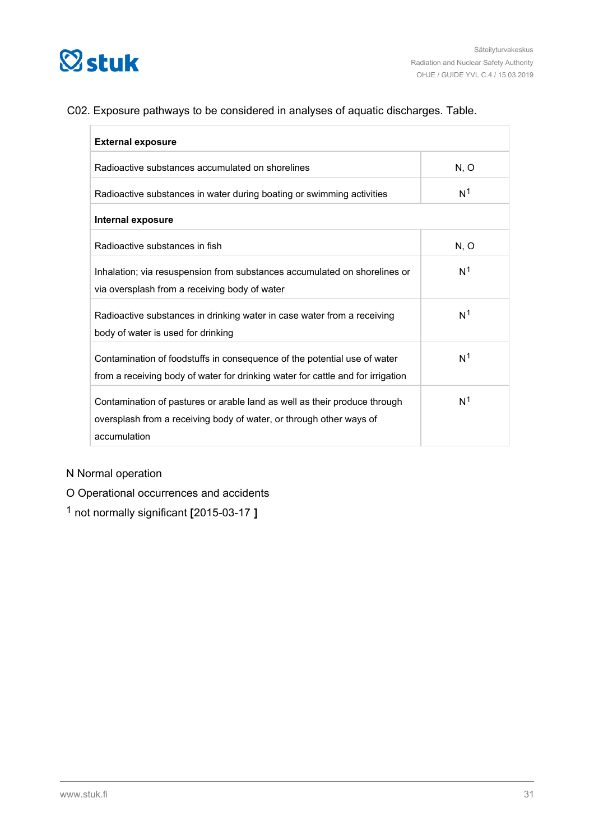

### C02. Exposure pathways to be considered in analyses of aquatic discharges. Table.

| <b>External exposure</b>                                                                                                                                         |                |  |  |  |  |
|------------------------------------------------------------------------------------------------------------------------------------------------------------------|----------------|--|--|--|--|
| Radioactive substances accumulated on shorelines                                                                                                                 | N, O           |  |  |  |  |
| Radioactive substances in water during boating or swimming activities                                                                                            | N <sup>1</sup> |  |  |  |  |
| Internal exposure                                                                                                                                                |                |  |  |  |  |
| Radioactive substances in fish                                                                                                                                   | N, O           |  |  |  |  |
| Inhalation; via resuspension from substances accumulated on shorelines or<br>via oversplash from a receiving body of water                                       | N <sup>1</sup> |  |  |  |  |
| Radioactive substances in drinking water in case water from a receiving<br>body of water is used for drinking                                                    | N <sup>1</sup> |  |  |  |  |
| Contamination of foodstuffs in consequence of the potential use of water<br>from a receiving body of water for drinking water for cattle and for irrigation      | N <sup>1</sup> |  |  |  |  |
| Contamination of pastures or arable land as well as their produce through<br>oversplash from a receiving body of water, or through other ways of<br>accumulation | N <sup>1</sup> |  |  |  |  |

### N Normal operation

O Operational occurrences and accidents

1 not normally significant **[**2015-03-17 **]**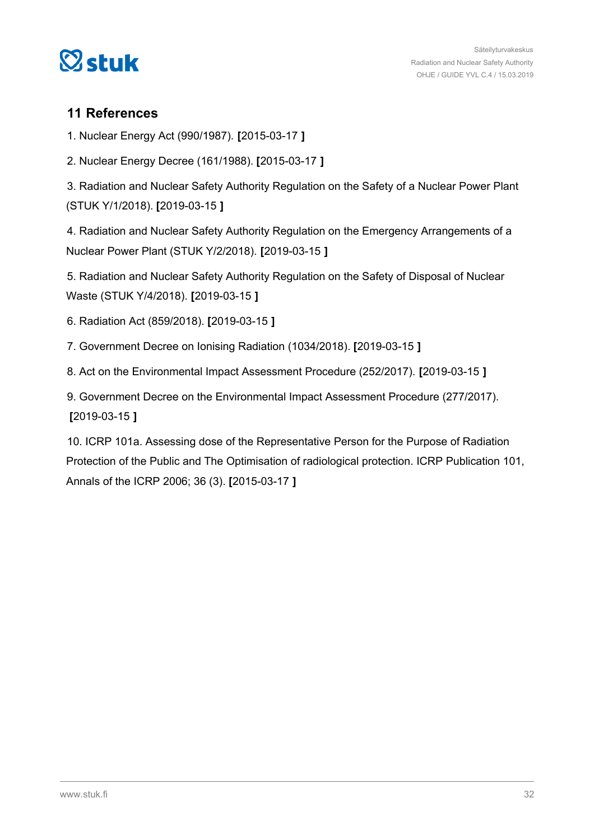<span id="page-31-0"></span>

### **11 References**

1. Nuclear Energy Act (990/1987). **[**2015-03-17 **]**

2. Nuclear Energy Decree (161/1988). **[**2015-03-17 **]**

3. Radiation and Nuclear Safety Authority Regulation on the Safety of a Nuclear Power Plant (STUK Y/1/2018). **[**2019-03-15 **]**

4. Radiation and Nuclear Safety Authority Regulation on the Emergency Arrangements of a Nuclear Power Plant (STUK Y/2/2018). **[**2019-03-15 **]**

5. Radiation and Nuclear Safety Authority Regulation on the Safety of Disposal of Nuclear Waste (STUK Y/4/2018). **[**2019-03-15 **]**

6. Radiation Act (859/2018). **[**2019-03-15 **]**

7. Government Decree on Ionising Radiation (1034/2018). **[**2019-03-15 **]**

8. Act on the Environmental Impact Assessment Procedure (252/2017). **[**2019-03-15 **]**

9. Government Decree on the Environmental Impact Assessment Procedure (277/2017). **[**2019-03-15 **]**

10. ICRP 101a. Assessing dose of the Representative Person for the Purpose of Radiation Protection of the Public and The Optimisation of radiological protection. ICRP Publication 101, Annals of the ICRP 2006; 36 (3). **[**2015-03-17 **]**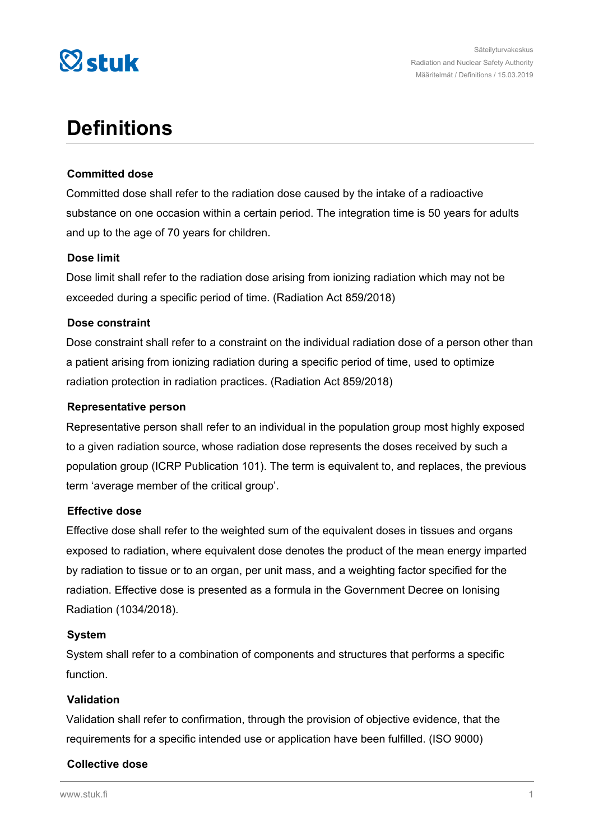

# **Definitions**

### **Committed dose**

Committed dose shall refer to the radiation dose caused by the intake of a radioactive substance on one occasion within a certain period. The integration time is 50 years for adults and up to the age of 70 years for children.

### **Dose limit**

Dose limit shall refer to the radiation dose arising from ionizing radiation which may not be exceeded during a specific period of time. (Radiation Act 859/2018)

### **Dose constraint**

Dose constraint shall refer to a constraint on the individual radiation dose of a person other than a patient arising from ionizing radiation during a specific period of time, used to optimize radiation protection in radiation practices. (Radiation Act 859/2018)

### **Representative person**

Representative person shall refer to an individual in the population group most highly exposed to a given radiation source, whose radiation dose represents the doses received by such a population group (ICRP Publication 101). The term is equivalent to, and replaces, the previous term 'average member of the critical group'.

### **Effective dose**

Effective dose shall refer to the weighted sum of the equivalent doses in tissues and organs exposed to radiation, where equivalent dose denotes the product of the mean energy imparted by radiation to tissue or to an organ, per unit mass, and a weighting factor specified for the radiation. Effective dose is presented as a formula in the Government Decree on Ionising Radiation (1034/2018).

#### **System**

System shall refer to a combination of components and structures that performs a specific function.

### **Validation**

Validation shall refer to confirmation, through the provision of objective evidence, that the requirements for a specific intended use or application have been fulfilled. (ISO 9000)

### **Collective dose**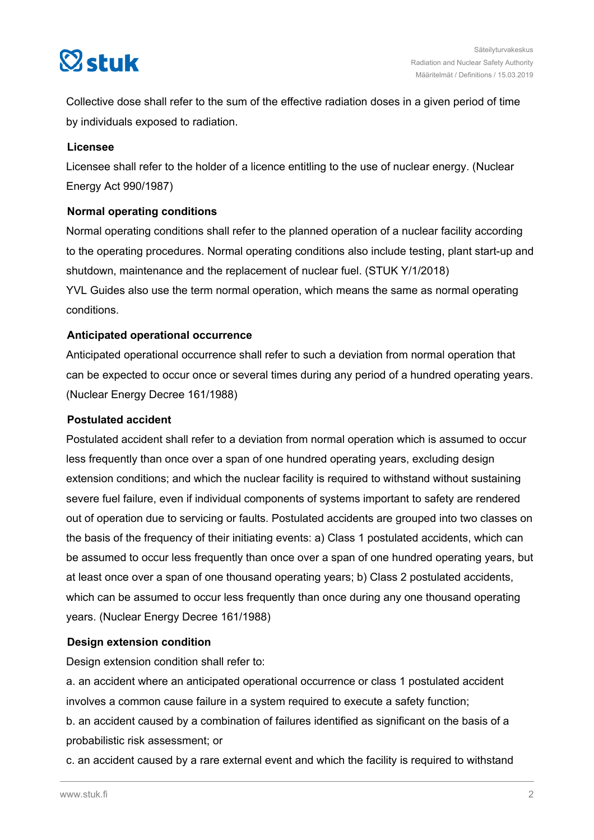

Collective dose shall refer to the sum of the effective radiation doses in a given period of time by individuals exposed to radiation.

### **Licensee**

Licensee shall refer to the holder of a licence entitling to the use of nuclear energy. (Nuclear Energy Act 990/1987)

### **Normal operating conditions**

Normal operating conditions shall refer to the planned operation of a nuclear facility according to the operating procedures. Normal operating conditions also include testing, plant start-up and shutdown, maintenance and the replacement of nuclear fuel. (STUK Y/1/2018) YVL Guides also use the term normal operation, which means the same as normal operating conditions.

### **Anticipated operational occurrence**

Anticipated operational occurrence shall refer to such a deviation from normal operation that can be expected to occur once or several times during any period of a hundred operating years. (Nuclear Energy Decree 161/1988)

### **Postulated accident**

Postulated accident shall refer to a deviation from normal operation which is assumed to occur less frequently than once over a span of one hundred operating years, excluding design extension conditions; and which the nuclear facility is required to withstand without sustaining severe fuel failure, even if individual components of systems important to safety are rendered out of operation due to servicing or faults. Postulated accidents are grouped into two classes on the basis of the frequency of their initiating events: a) Class 1 postulated accidents, which can be assumed to occur less frequently than once over a span of one hundred operating years, but at least once over a span of one thousand operating years; b) Class 2 postulated accidents, which can be assumed to occur less frequently than once during any one thousand operating years. (Nuclear Energy Decree 161/1988)

### **Design extension condition**

Design extension condition shall refer to:

a. an accident where an anticipated operational occurrence or class 1 postulated accident involves a common cause failure in a system required to execute a safety function;

b. an accident caused by a combination of failures identified as significant on the basis of a probabilistic risk assessment; or

c. an accident caused by a rare external event and which the facility is required to withstand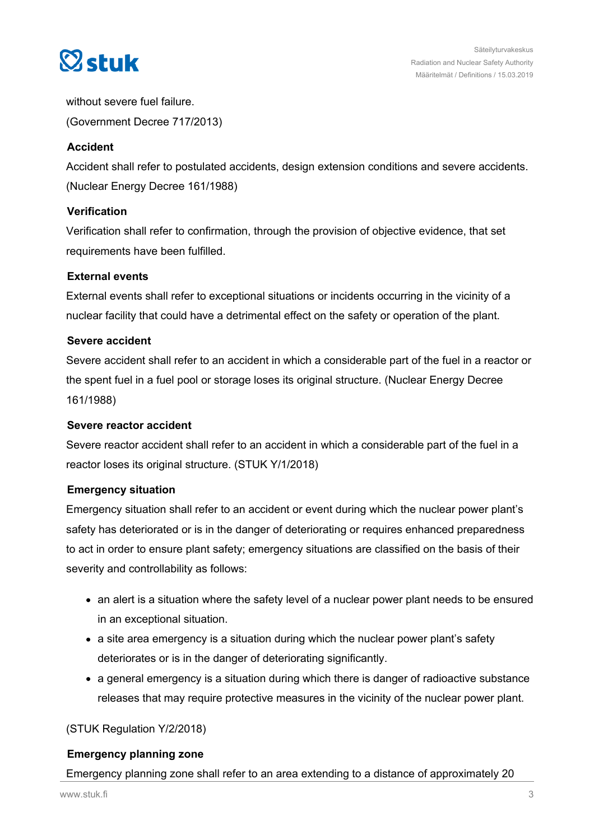

without severe fuel failure. (Government Decree 717/2013)

### **Accident**

Accident shall refer to postulated accidents, design extension conditions and severe accidents. (Nuclear Energy Decree 161/1988)

### **Verification**

Verification shall refer to confirmation, through the provision of objective evidence, that set requirements have been fulfilled.

### **External events**

External events shall refer to exceptional situations or incidents occurring in the vicinity of a nuclear facility that could have a detrimental effect on the safety or operation of the plant.

### **Severe accident**

Severe accident shall refer to an accident in which a considerable part of the fuel in a reactor or the spent fuel in a fuel pool or storage loses its original structure. (Nuclear Energy Decree 161/1988)

#### **Severe reactor accident**

Severe reactor accident shall refer to an accident in which a considerable part of the fuel in a reactor loses its original structure. (STUK Y/1/2018)

#### **Emergency situation**

Emergency situation shall refer to an accident or event during which the nuclear power plant's safety has deteriorated or is in the danger of deteriorating or requires enhanced preparedness to act in order to ensure plant safety; emergency situations are classified on the basis of their severity and controllability as follows:

- an alert is a situation where the safety level of a nuclear power plant needs to be ensured in an exceptional situation.
- a site area emergency is a situation during which the nuclear power plant's safety deteriorates or is in the danger of deteriorating significantly.
- a general emergency is a situation during which there is danger of radioactive substance releases that may require protective measures in the vicinity of the nuclear power plant.

### (STUK Regulation Y/2/2018)

### **Emergency planning zone**

### Emergency planning zone shall refer to an area extending to a distance of approximately 20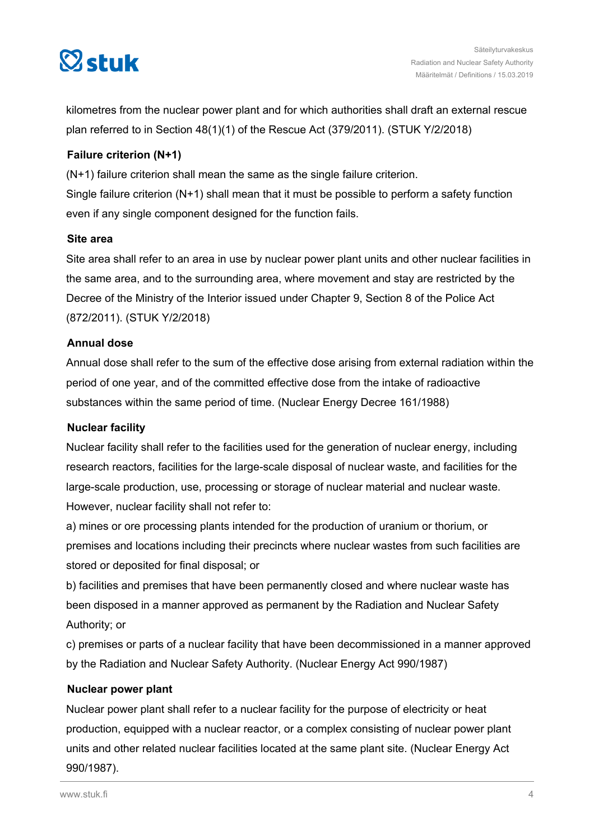

kilometres from the nuclear power plant and for which authorities shall draft an external rescue plan referred to in Section 48(1)(1) of the Rescue Act (379/2011). (STUK Y/2/2018)

### **Failure criterion (N+1)**

(N+1) failure criterion shall mean the same as the single failure criterion. Single failure criterion (N+1) shall mean that it must be possible to perform a safety function even if any single component designed for the function fails.

### **Site area**

Site area shall refer to an area in use by nuclear power plant units and other nuclear facilities in the same area, and to the surrounding area, where movement and stay are restricted by the Decree of the Ministry of the Interior issued under Chapter 9, Section 8 of the Police Act (872/2011). (STUK Y/2/2018)

### **Annual dose**

Annual dose shall refer to the sum of the effective dose arising from external radiation within the period of one year, and of the committed effective dose from the intake of radioactive substances within the same period of time. (Nuclear Energy Decree 161/1988)

### **Nuclear facility**

Nuclear facility shall refer to the facilities used for the generation of nuclear energy, including research reactors, facilities for the large-scale disposal of nuclear waste, and facilities for the large-scale production, use, processing or storage of nuclear material and nuclear waste. However, nuclear facility shall not refer to:

a) mines or ore processing plants intended for the production of uranium or thorium, or premises and locations including their precincts where nuclear wastes from such facilities are stored or deposited for final disposal; or

b) facilities and premises that have been permanently closed and where nuclear waste has been disposed in a manner approved as permanent by the Radiation and Nuclear Safety Authority; or

c) premises or parts of a nuclear facility that have been decommissioned in a manner approved by the Radiation and Nuclear Safety Authority. (Nuclear Energy Act 990/1987)

#### **Nuclear power plant**

Nuclear power plant shall refer to a nuclear facility for the purpose of electricity or heat production, equipped with a nuclear reactor, or a complex consisting of nuclear power plant units and other related nuclear facilities located at the same plant site. (Nuclear Energy Act 990/1987).